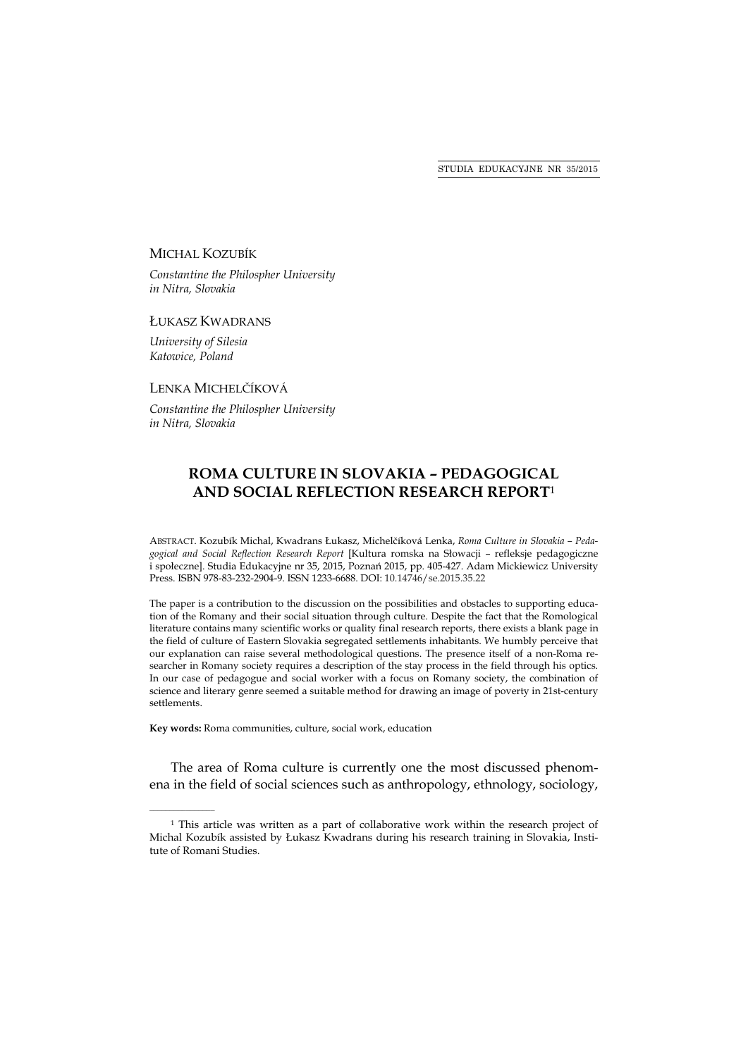#### MICHAL KOZUBÍK

*Constantine the Philospher University in Nitra, Slovakia* 

#### ŁUKASZ KWADRANS

*University of Silesia Katowice, Poland* 

 $\mathcal{L}=\mathcal{L}=\mathcal{L}=\mathcal{L}=\mathcal{L}=\mathcal{L}$ 

## LENKA MICHELČÍKOVÁ

*Constantine the Philospher University in Nitra, Slovakia* 

# **ROMA CULTURE IN SLOVAKIA – PEDAGOGICAL AND SOCIAL REFLECTION RESEARCH REPORT**<sup>1</sup>

ABSTRACT. Kozubík Michal, Kwadrans Łukasz, Michelčíková Lenka, *Roma Culture in Slovakia – Pedagogical and Social Reflection Research Report* [Kultura romska na Słowacji – refleksje pedagogiczne i społeczne]. Studia Edukacyjne nr 35, 2015, Poznań 2015, pp. 405-427. Adam Mickiewicz University Press. ISBN 978-83-232-2904-9. ISSN 1233-6688. DOI: 10.14746/se.2015.35.22

The paper is a contribution to the discussion on the possibilities and obstacles to supporting education of the Romany and their social situation through culture. Despite the fact that the Romological literature contains many scientific works or quality final research reports, there exists a blank page in the field of culture of Eastern Slovakia segregated settlements inhabitants. We humbly perceive that our explanation can raise several methodological questions. The presence itself of a non-Roma researcher in Romany society requires a description of the stay process in the field through his optics. In our case of pedagogue and social worker with a focus on Romany society, the combination of science and literary genre seemed a suitable method for drawing an image of poverty in 21st-century settlements.

**Key words:** Roma communities, culture, social work, education

The area of Roma culture is currently one the most discussed phenomena in the field of social sciences such as anthropology, ethnology, sociology,

<sup>1</sup> This article was written as a part of collaborative work within the research project of Michal Kozubík assisted by Łukasz Kwadrans during his research training in Slovakia, Institute of Romani Studies.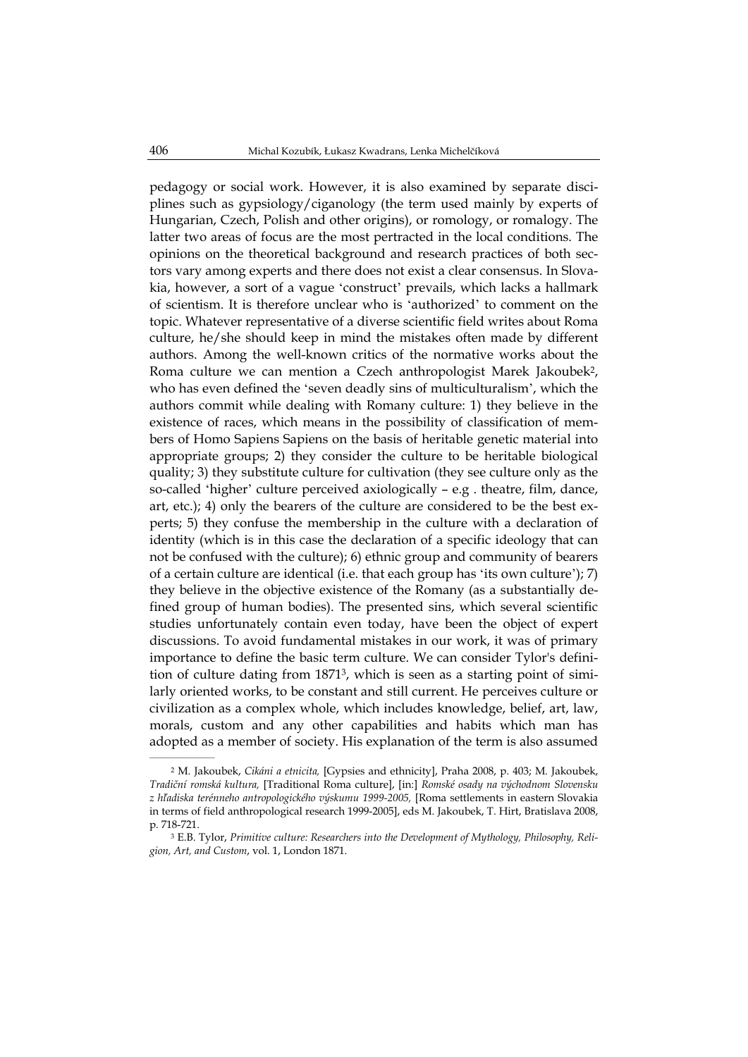pedagogy or social work. However, it is also examined by separate disciplines such as gypsiology/ciganology (the term used mainly by experts of Hungarian, Czech, Polish and other origins), or romology, or romalogy. The latter two areas of focus are the most pertracted in the local conditions. The opinions on the theoretical background and research practices of both sectors vary among experts and there does not exist a clear consensus. In Slovakia, however, a sort of a vague ʻconstruct' prevails, which lacks a hallmark of scientism. It is therefore unclear who is ʻauthorized' to comment on the topic. Whatever representative of a diverse scientific field writes about Roma culture, he/she should keep in mind the mistakes often made by different authors. Among the well-known critics of the normative works about the Roma culture we can mention a Czech anthropologist Marek Jakoubek2, who has even defined the ʻseven deadly sins of multiculturalism', which the authors commit while dealing with Romany culture: 1) they believe in the existence of races, which means in the possibility of classification of members of Homo Sapiens Sapiens on the basis of heritable genetic material into appropriate groups; 2) they consider the culture to be heritable biological quality; 3) they substitute culture for cultivation (they see culture only as the so-called ʻhigher' culture perceived axiologically – e.g . theatre, film, dance, art, etc.); 4) only the bearers of the culture are considered to be the best experts; 5) they confuse the membership in the culture with a declaration of identity (which is in this case the declaration of a specific ideology that can not be confused with the culture); 6) ethnic group and community of bearers of a certain culture are identical (i.e. that each group has ʻits own culture'); 7) they believe in the objective existence of the Romany (as a substantially defined group of human bodies). The presented sins, which several scientific studies unfortunately contain even today, have been the object of expert discussions. To avoid fundamental mistakes in our work, it was of primary importance to define the basic term culture. We can consider Tylor's definition of culture dating from 18713, which is seen as a starting point of similarly oriented works, to be constant and still current. He perceives culture or civilization as a complex whole, which includes knowledge, belief, art, law, morals, custom and any other capabilities and habits which man has adopted as a member of society. His explanation of the term is also assumed  $\sim$   $\sim$   $\sim$   $\sim$ 

<sup>2</sup> M. Jakoubek, *Cikáni a etnicita,* [Gypsies and ethnicity], Praha 2008, p. 403; M. Jakoubek, *Tradiční romská kultura,* [Traditional Roma culture], [in:] *Romské osady na východnom Slovensku z hľadiska terénneho antropologického výskumu 1999-2005,* [Roma settlements in eastern Slovakia in terms of field anthropological research 1999-2005], eds M. Jakoubek, T. Hirt, Bratislava 2008, p. 718-721.

<sup>3</sup> E.B. Tylor, *Primitive culture: Researchers into the Development of Mythology, Philosophy, Religion, Art, and Custom*, vol. 1, London 1871.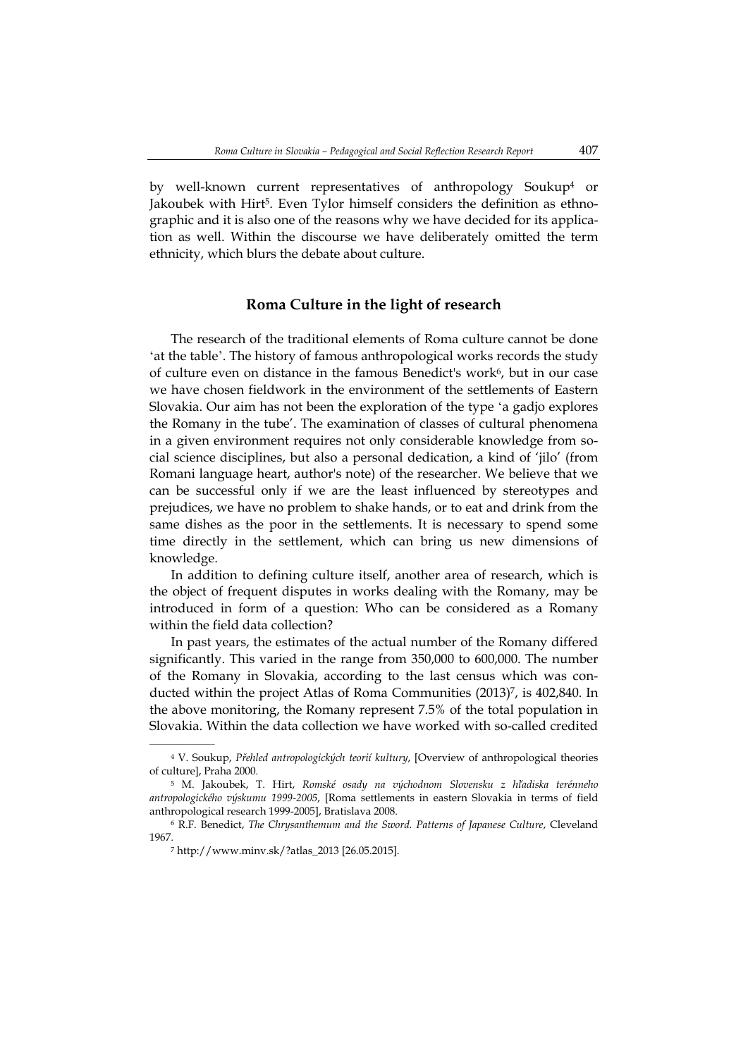by well-known current representatives of anthropology Soukup4 or Jakoubek with Hirt5. Even Tylor himself considers the definition as ethnographic and it is also one of the reasons why we have decided for its application as well. Within the discourse we have deliberately omitted the term ethnicity, which blurs the debate about culture.

## **Roma Culture in the light of research**

The research of the traditional elements of Roma culture cannot be done ʻat the table'. The history of famous anthropological works records the study of culture even on distance in the famous Benedict's work<sup>6</sup>, but in our case we have chosen fieldwork in the environment of the settlements of Eastern Slovakia. Our aim has not been the exploration of the type ʻa gadjo explores the Romany in the tube'. The examination of classes of cultural phenomena in a given environment requires not only considerable knowledge from social science disciplines, but also a personal dedication, a kind of 'jilo' (from Romani language heart, author's note) of the researcher. We believe that we can be successful only if we are the least influenced by stereotypes and prejudices, we have no problem to shake hands, or to eat and drink from the same dishes as the poor in the settlements. It is necessary to spend some time directly in the settlement, which can bring us new dimensions of knowledge.

In addition to defining culture itself, another area of research, which is the object of frequent disputes in works dealing with the Romany, may be introduced in form of a question: Who can be considered as a Romany within the field data collection?

In past years, the estimates of the actual number of the Romany differed significantly. This varied in the range from 350,000 to 600,000. The number of the Romany in Slovakia, according to the last census which was conducted within the project Atlas of Roma Communities (2013)7, is 402,840. In the above monitoring, the Romany represent 7.5% of the total population in Slovakia. Within the data collection we have worked with so-called credited

<sup>4</sup> V. Soukup, *Přehled antropologických teorií kultury*, [Overview of anthropological theories of culture], Praha 2000.

<sup>5</sup> M. Jakoubek, T. Hirt, *Romské osady na východnom Slovensku z hľadiska terénneho antropologického výskumu 1999-2005*, [Roma settlements in eastern Slovakia in terms of field anthropological research 1999-2005], Bratislava 2008.

<sup>6</sup> R.F. Benedict, *The Chrysanthemum and the Sword. Patterns of Japanese Culture*, Cleveland 1967.

<sup>7</sup> http://www.minv.sk/?atlas\_2013 [26.05.2015].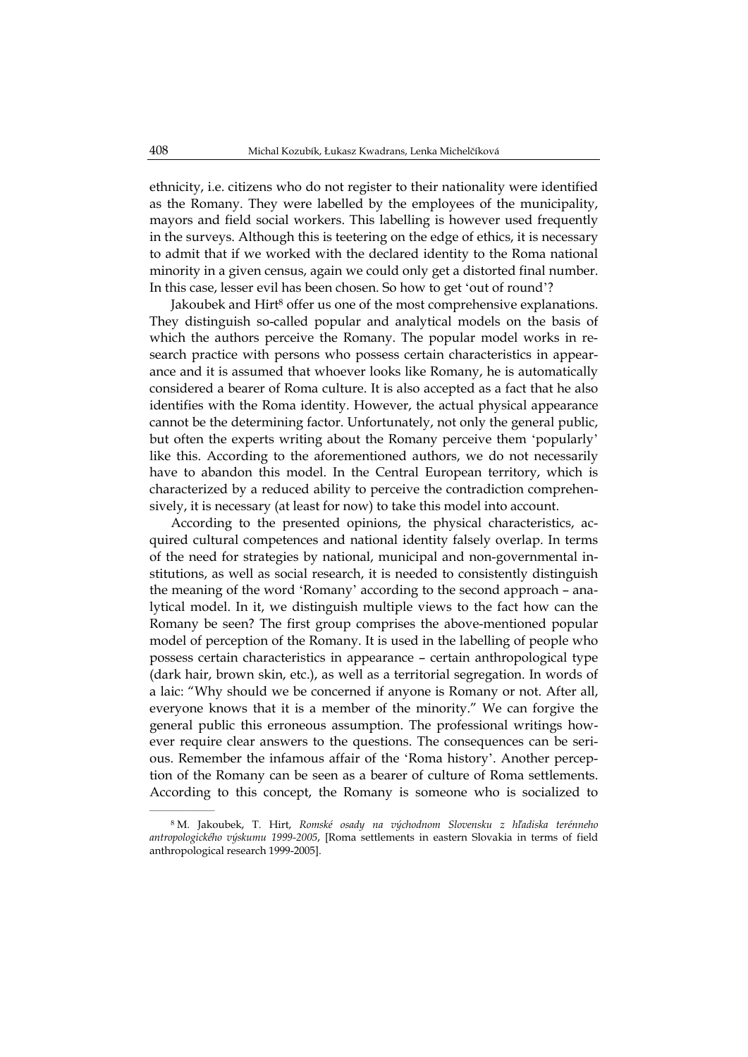ethnicity, i.e. citizens who do not register to their nationality were identified as the Romany. They were labelled by the employees of the municipality, mayors and field social workers. This labelling is however used frequently in the surveys. Although this is teetering on the edge of ethics, it is necessary to admit that if we worked with the declared identity to the Roma national minority in a given census, again we could only get a distorted final number. In this case, lesser evil has been chosen. So how to get ʻout of round'?

Jakoubek and Hirt<sup>8</sup> offer us one of the most comprehensive explanations. They distinguish so-called popular and analytical models on the basis of which the authors perceive the Romany. The popular model works in research practice with persons who possess certain characteristics in appearance and it is assumed that whoever looks like Romany, he is automatically considered a bearer of Roma culture. It is also accepted as a fact that he also identifies with the Roma identity. However, the actual physical appearance cannot be the determining factor. Unfortunately, not only the general public, but often the experts writing about the Romany perceive them ʻpopularly' like this. According to the aforementioned authors, we do not necessarily have to abandon this model. In the Central European territory, which is characterized by a reduced ability to perceive the contradiction comprehensively, it is necessary (at least for now) to take this model into account.

According to the presented opinions, the physical characteristics, acquired cultural competences and national identity falsely overlap. In terms of the need for strategies by national, municipal and non-governmental institutions, as well as social research, it is needed to consistently distinguish the meaning of the word ʻRomany' according to the second approach – analytical model. In it, we distinguish multiple views to the fact how can the Romany be seen? The first group comprises the above-mentioned popular model of perception of the Romany. It is used in the labelling of people who possess certain characteristics in appearance – certain anthropological type (dark hair, brown skin, etc.), as well as a territorial segregation. In words of a laic: "Why should we be concerned if anyone is Romany or not. After all, everyone knows that it is a member of the minority." We can forgive the general public this erroneous assumption. The professional writings however require clear answers to the questions. The consequences can be serious. Remember the infamous affair of the ʻRoma history'. Another perception of the Romany can be seen as a bearer of culture of Roma settlements. According to this concept, the Romany is someone who is socialized to

<sup>8</sup> M. Jakoubek, T. Hirt, *Romské osady na východnom Slovensku z hľadiska terénneho antropologického výskumu 1999-2005*, [Roma settlements in eastern Slovakia in terms of field anthropological research 1999-2005].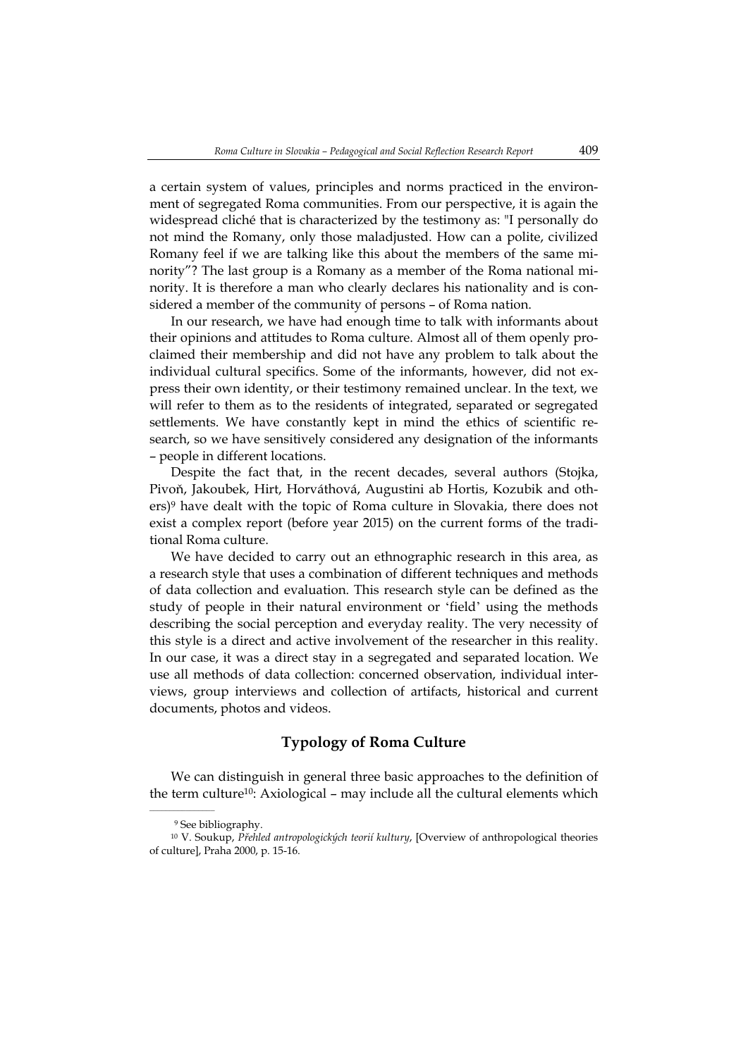a certain system of values, principles and norms practiced in the environment of segregated Roma communities. From our perspective, it is again the widespread cliché that is characterized by the testimony as: "I personally do not mind the Romany, only those maladjusted. How can a polite, civilized Romany feel if we are talking like this about the members of the same minority"? The last group is a Romany as a member of the Roma national minority. It is therefore a man who clearly declares his nationality and is considered a member of the community of persons – of Roma nation.

In our research, we have had enough time to talk with informants about their opinions and attitudes to Roma culture. Almost all of them openly proclaimed their membership and did not have any problem to talk about the individual cultural specifics. Some of the informants, however, did not express their own identity, or their testimony remained unclear. In the text, we will refer to them as to the residents of integrated, separated or segregated settlements. We have constantly kept in mind the ethics of scientific research, so we have sensitively considered any designation of the informants – people in different locations.

Despite the fact that, in the recent decades, several authors (Stojka, Pivoň, Jakoubek, Hirt, Horváthová, Augustini ab Hortis, Kozubik and others)9 have dealt with the topic of Roma culture in Slovakia, there does not exist a complex report (before year 2015) on the current forms of the traditional Roma culture.

We have decided to carry out an ethnographic research in this area, as a research style that uses a combination of different techniques and methods of data collection and evaluation. This research style can be defined as the study of people in their natural environment or ʻfield' using the methods describing the social perception and everyday reality. The very necessity of this style is a direct and active involvement of the researcher in this reality. In our case, it was a direct stay in a segregated and separated location. We use all methods of data collection: concerned observation, individual interviews, group interviews and collection of artifacts, historical and current documents, photos and videos.

## **Typology of Roma Culture**

We can distinguish in general three basic approaches to the definition of the term culture10: Axiological – may include all the cultural elements which

<sup>9</sup> See bibliography.

<sup>10</sup> V. Soukup, *Přehled antropologických teorií kultury*, [Overview of anthropological theories of culture], Praha 2000, p. 15-16.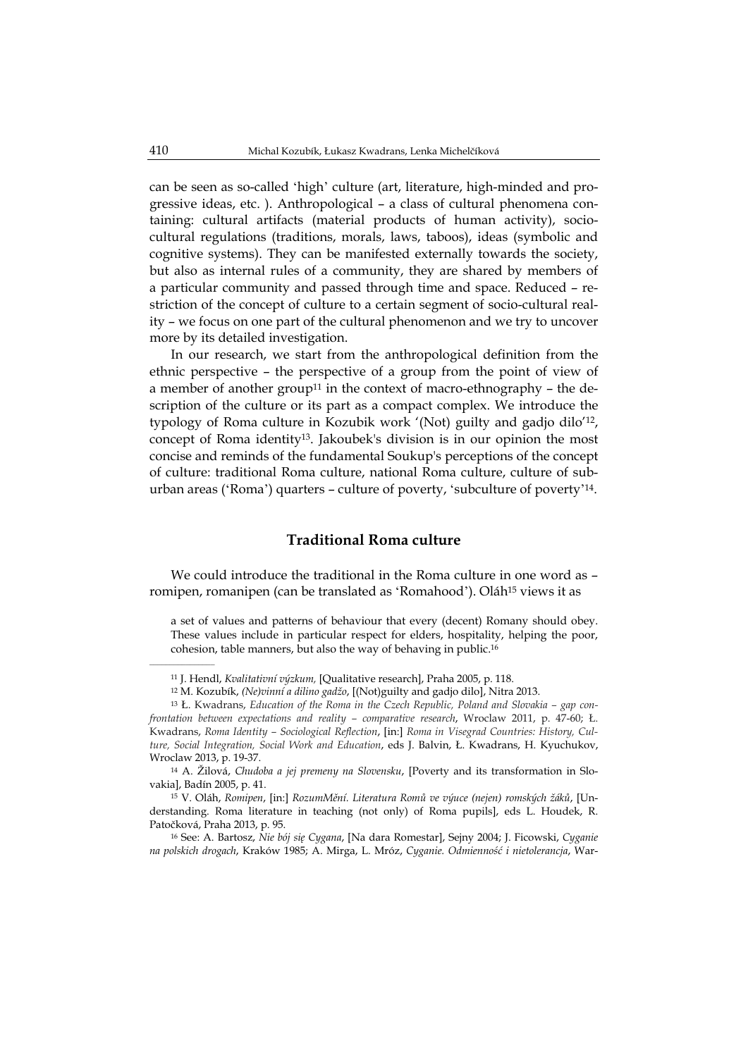can be seen as so-called ʻhigh' culture (art, literature, high-minded and progressive ideas, etc. ). Anthropological – a class of cultural phenomena containing: cultural artifacts (material products of human activity), sociocultural regulations (traditions, morals, laws, taboos), ideas (symbolic and cognitive systems). They can be manifested externally towards the society, but also as internal rules of a community, they are shared by members of a particular community and passed through time and space. Reduced – restriction of the concept of culture to a certain segment of socio-cultural reality – we focus on one part of the cultural phenomenon and we try to uncover more by its detailed investigation.

In our research, we start from the anthropological definition from the ethnic perspective – the perspective of a group from the point of view of a member of another group<sup>11</sup> in the context of macro-ethnography – the description of the culture or its part as a compact complex. We introduce the typology of Roma culture in Kozubik work '(Not) guilty and gadjo dilo'12, concept of Roma identity13. Jakoubek's division is in our opinion the most concise and reminds of the fundamental Soukup's perceptions of the concept of culture: traditional Roma culture, national Roma culture, culture of suburban areas (ʻRoma') quarters – culture of poverty, ʻsubculture of poverty'14.

## **Traditional Roma culture**

We could introduce the traditional in the Roma culture in one word as – romipen, romanipen (can be translated as ʻRomahood'). Oláh15 views it as

a set of values and patterns of behaviour that every (decent) Romany should obey. These values include in particular respect for elders, hospitality, helping the poor, cohesion, table manners, but also the way of behaving in public.16

15 V. Oláh, *Romipen*, [in:] *RozumMění. Literatura Romů ve výuce (nejen) romských žáků*, [Understanding. Roma literature in teaching (not only) of Roma pupils], eds L. Houdek, R. Patočková, Praha 2013, p. 95.

16 See: A. Bartosz, *Nie bój się Cygana*, [Na dara Romestar], Sejny 2004; J. Ficowski, *Cyganie na polskich drogach*, Kraków 1985; A. Mirga, L. Mróz, *Cyganie. Odmienność i nietolerancja*, War-

 $\mathcal{L}=\mathcal{L}^{\text{max}}$ 

<sup>11</sup> J. Hendl, *Kvalitativní výzkum,* [Qualitative research], Praha 2005, p. 118.

<sup>12</sup> M. Kozubík, *(Ne)vinní a dilino gadžo*, [(Not)guilty and gadjo dilo], Nitra 2013.

<sup>13</sup> Ł. Kwadrans, *Education of the Roma in the Czech Republic, Poland and Slovakia – gap confrontation between expectations and reality – comparative research*, Wroclaw 2011, p. 47-60; Ł. Kwadrans, *Roma Identity – Sociological Reflection*, [in:] *Roma in Visegrad Countries: History, Culture, Social Integration, Social Work and Education*, eds J. Balvin, Ł. Kwadrans, H. Kyuchukov, Wroclaw 2013, p. 19-37.

<sup>14</sup> A. Žilová, *Chudoba a jej premeny na Slovensku*, [Poverty and its transformation in Slovakia], Badín 2005, p. 41.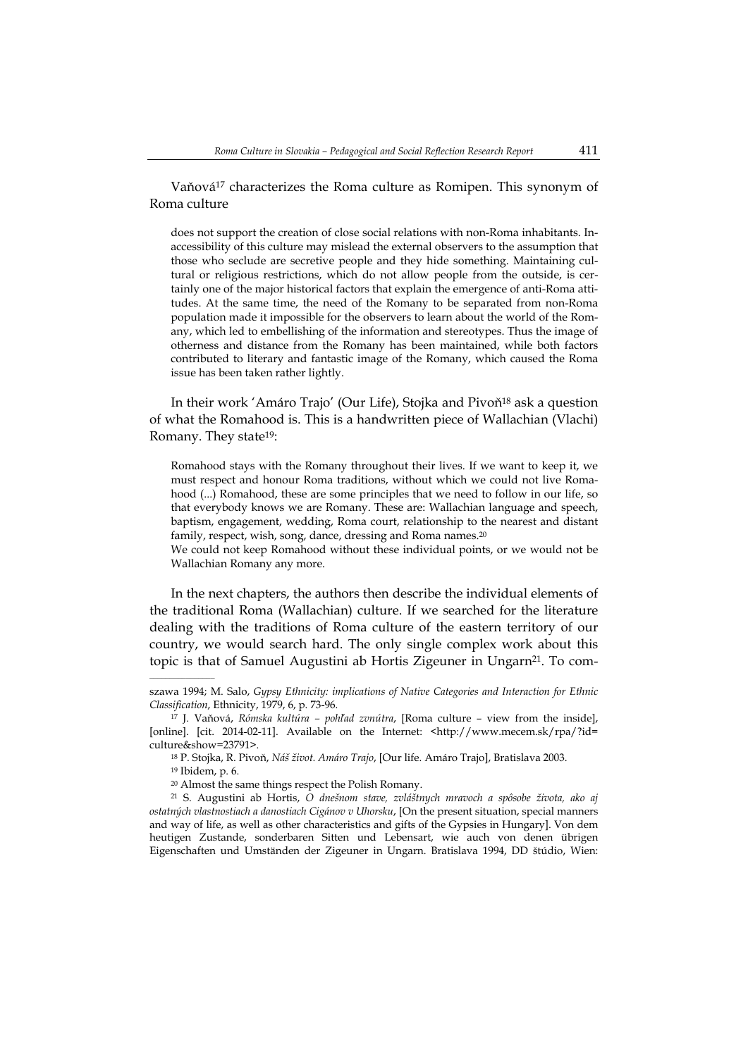Vaňová17 characterizes the Roma culture as Romipen. This synonym of Roma culture

does not support the creation of close social relations with non-Roma inhabitants. Inaccessibility of this culture may mislead the external observers to the assumption that those who seclude are secretive people and they hide something. Maintaining cultural or religious restrictions, which do not allow people from the outside, is certainly one of the major historical factors that explain the emergence of anti-Roma attitudes. At the same time, the need of the Romany to be separated from non-Roma population made it impossible for the observers to learn about the world of the Romany, which led to embellishing of the information and stereotypes. Thus the image of otherness and distance from the Romany has been maintained, while both factors contributed to literary and fantastic image of the Romany, which caused the Roma issue has been taken rather lightly.

In their work 'Amáro Trajo' (Our Life), Stojka and Pivoň18 ask a question of what the Romahood is. This is a handwritten piece of Wallachian (Vlachi) Romany. They state19:

Romahood stays with the Romany throughout their lives. If we want to keep it, we must respect and honour Roma traditions, without which we could not live Romahood (...) Romahood, these are some principles that we need to follow in our life, so that everybody knows we are Romany. These are: Wallachian language and speech, baptism, engagement, wedding, Roma court, relationship to the nearest and distant family, respect, wish, song, dance, dressing and Roma names.<sup>20</sup>

We could not keep Romahood without these individual points, or we would not be Wallachian Romany any more.

In the next chapters, the authors then describe the individual elements of the traditional Roma (Wallachian) culture. If we searched for the literature dealing with the traditions of Roma culture of the eastern territory of our country, we would search hard. The only single complex work about this topic is that of Samuel Augustini ab Hortis Zigeuner in Ungarn<sup>21</sup>. To com-

18 P. Stojka, R. Pivoň, *Náš život. Amáro Trajo*, [Our life. Amáro Trajo], Bratislava 2003.

19 Ibidem, p. 6.

szawa 1994; M. Salo, *Gypsy Ethnicity: implications of Native Categories and Interaction for Ethnic Classification*, Ethnicity, 1979, 6, p. 73-96.

<sup>17</sup> J. Vaňová, *Rómska kultúra – pohľad zvnútra*, [Roma culture – view from the inside], [online]. [cit. 2014-02-11]. Available on the Internet: <http://www.mecem.sk/rpa/?id= culture&show=23791>.

<sup>20</sup> Almost the same things respect the Polish Romany.

<sup>21</sup> S. Augustini ab Hortis, *O dnešnom stave, zvláštnych mravoch a spôsobe života, ako aj ostatných vlastnostiach a danostiach Cigánov v Uhorsku*, [On the present situation, special manners and way of life, as well as other characteristics and gifts of the Gypsies in Hungary]. Von dem heutigen Zustande, sonderbaren Sitten und Lebensart, wie auch von denen übrigen Eigenschaften und Umständen der Zigeuner in Ungarn. Bratislava 1994, DD štúdio, Wien: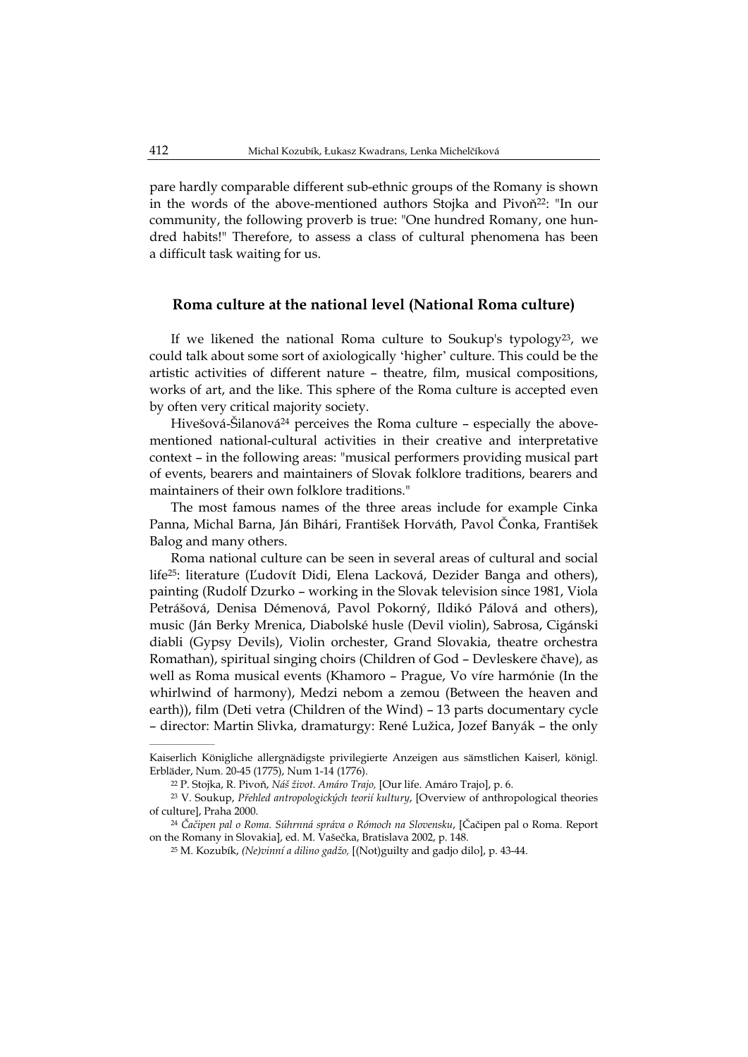pare hardly comparable different sub-ethnic groups of the Romany is shown in the words of the above-mentioned authors Stojka and Pivoň22: "In our community, the following proverb is true: "One hundred Romany, one hundred habits!" Therefore, to assess a class of cultural phenomena has been a difficult task waiting for us.

#### **Roma culture at the national level (National Roma culture)**

If we likened the national Roma culture to Soukup's typology<sup>23</sup>, we could talk about some sort of axiologically ʻhigher' culture. This could be the artistic activities of different nature – theatre, film, musical compositions, works of art, and the like. This sphere of the Roma culture is accepted even by often very critical majority society.

Hivešová-Šilanová<sup>24</sup> perceives the Roma culture – especially the abovementioned national-cultural activities in their creative and interpretative context – in the following areas: "musical performers providing musical part of events, bearers and maintainers of Slovak folklore traditions, bearers and maintainers of their own folklore traditions."

The most famous names of the three areas include for example Cinka Panna, Michal Barna, Ján Bihári, František Horváth, Pavol Čonka, František Balog and many others.

Roma national culture can be seen in several areas of cultural and social life25: literature (Ľudovít Didi, Elena Lacková, Dezider Banga and others), painting (Rudolf Dzurko – working in the Slovak television since 1981, Viola Petrášová, Denisa Démenová, Pavol Pokorný, Ildikó Pálová and others), music (Ján Berky Mrenica, Diabolské husle (Devil violin), Sabrosa, Cigánski diabli (Gypsy Devils), Violin orchester, Grand Slovakia, theatre orchestra Romathan), spiritual singing choirs (Children of God – Devleskere čhave), as well as Roma musical events (Khamoro – Prague, Vo víre harmónie (In the whirlwind of harmony), Medzi nebom a zemou (Between the heaven and earth)), film (Deti vetra (Children of the Wind) – 13 parts documentary cycle – director: Martin Slivka, dramaturgy: René Lužica, Jozef Banyák – the only

Kaiserlich Königliche allergnädigste privilegierte Anzeigen aus sämstlichen Kaiserl, königl. Erbläder, Num. 20-45 (1775), Num 1-14 (1776).

<sup>22</sup> P. Stojka, R. Pivoň, *Náš život. Amáro Trajo,* [Our life. Amáro Trajo], p. 6.

<sup>23</sup> V. Soukup, *Přehled antropologických teorií kultury*, [Overview of anthropological theories of culture], Praha 2000.

<sup>24</sup> *Čačipen pal o Roma. Súhrnná správa o Rómoch na Slovensku*, [Čačipen pal o Roma. Report on the Romany in Slovakia], ed. M. Vašečka, Bratislava 2002, p. 148.

<sup>25</sup> M. Kozubík, *(Ne)vinní a dilino gadžo,* [(Not)guilty and gadjo dilo], p. 43-44.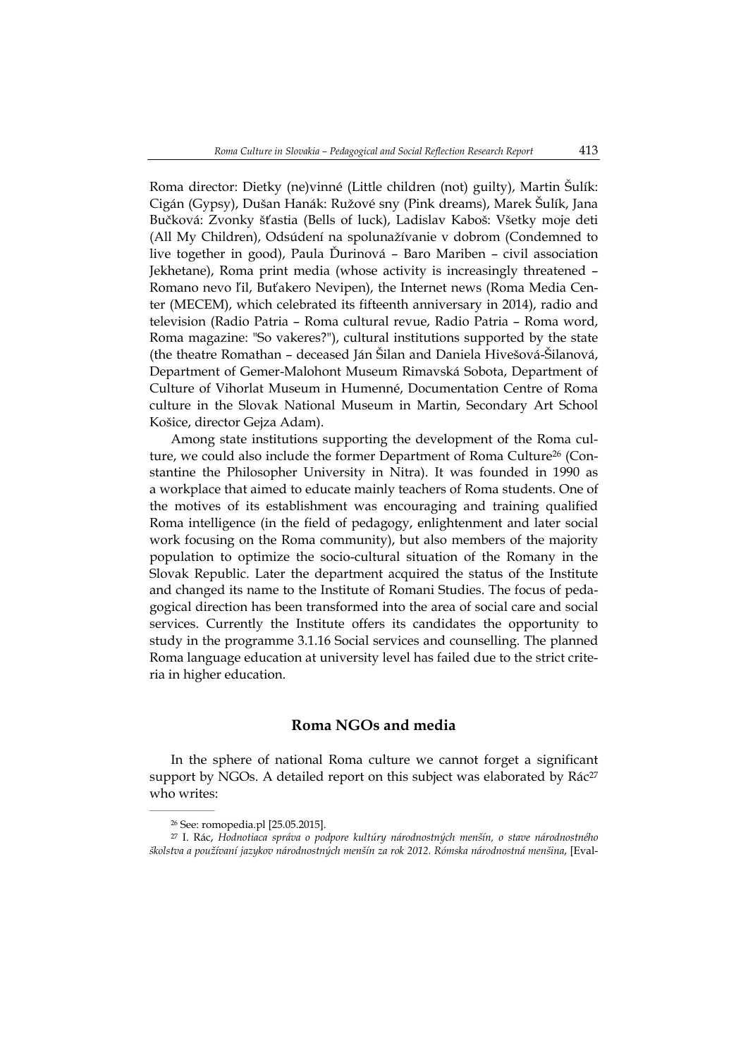Roma director: Dietky (ne)vinné (Little children (not) guilty), Martin Šulík: Cigán (Gypsy), Dušan Hanák: Ružové sny (Pink dreams), Marek Šulík, Jana Bučková: Zvonky šťastia (Bells of luck), Ladislav Kaboš: Všetky moje deti (All My Children), Odsúdení na spolunažívanie v dobrom (Condemned to live together in good), Paula Ďurinová – Baro Mariben – civil association Jekhetane), Roma print media (whose activity is increasingly threatened – Romano nevo ľil, Buťakero Nevipen), the Internet news (Roma Media Center (MECEM), which celebrated its fifteenth anniversary in 2014), radio and television (Radio Patria – Roma cultural revue, Radio Patria – Roma word, Roma magazine: "So vakeres?"), cultural institutions supported by the state (the theatre Romathan – deceased Ján Šilan and Daniela Hivešová-Šilanová, Department of Gemer-Malohont Museum Rimavská Sobota, Department of Culture of Vihorlat Museum in Humenné, Documentation Centre of Roma culture in the Slovak National Museum in Martin, Secondary Art School Košice, director Gejza Adam).

Among state institutions supporting the development of the Roma culture, we could also include the former Department of Roma Culture<sup>26</sup> (Constantine the Philosopher University in Nitra). It was founded in 1990 as a workplace that aimed to educate mainly teachers of Roma students. One of the motives of its establishment was encouraging and training qualified Roma intelligence (in the field of pedagogy, enlightenment and later social work focusing on the Roma community), but also members of the majority population to optimize the socio-cultural situation of the Romany in the Slovak Republic. Later the department acquired the status of the Institute and changed its name to the Institute of Romani Studies. The focus of pedagogical direction has been transformed into the area of social care and social services. Currently the Institute offers its candidates the opportunity to study in the programme 3.1.16 Social services and counselling. The planned Roma language education at university level has failed due to the strict criteria in higher education.

## **Roma NGOs and media**

In the sphere of national Roma culture we cannot forget a significant support by NGOs. A detailed report on this subject was elaborated by Rác<sup>27</sup> who writes:

<sup>26</sup> See: romopedia.pl [25.05.2015].

<sup>27</sup> I. Rác, *Hodnotiaca správa o podpore kultúry národnostných menšín, o stave národnostného školstva a používaní jazykov národnostných menšín za rok 2012. Rómska národnostná menšina*, [Eval-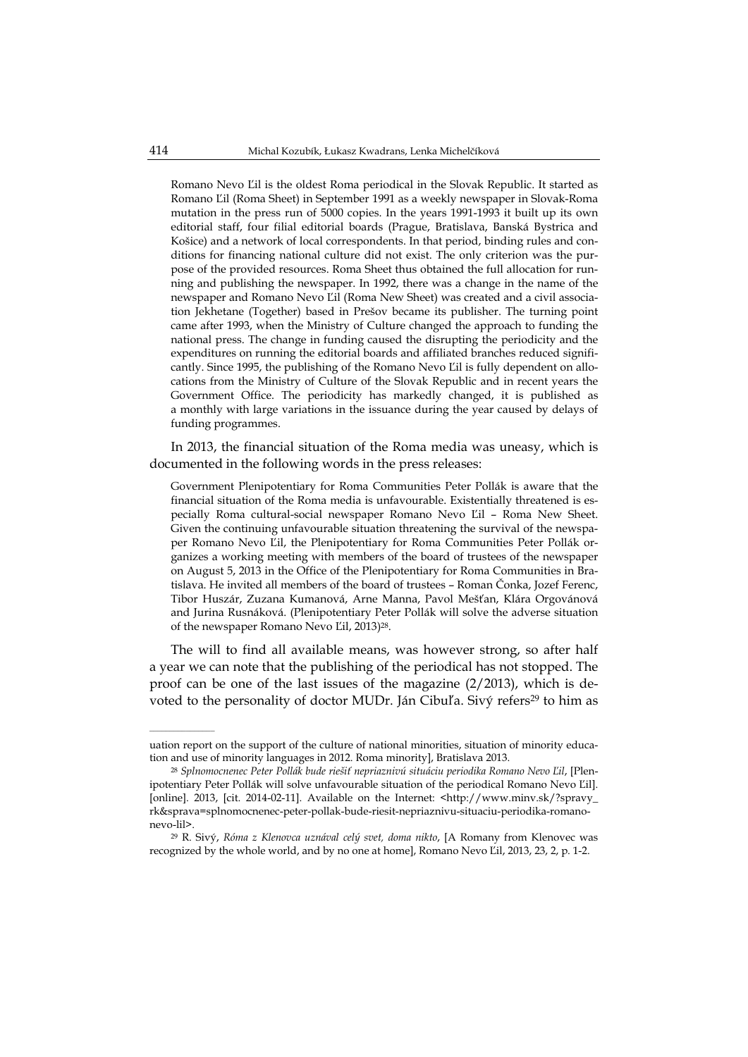Romano Nevo Ľil is the oldest Roma periodical in the Slovak Republic. It started as Romano Ľil (Roma Sheet) in September 1991 as a weekly newspaper in Slovak-Roma mutation in the press run of 5000 copies. In the years 1991-1993 it built up its own editorial staff, four filial editorial boards (Prague, Bratislava, Banská Bystrica and Košice) and a network of local correspondents. In that period, binding rules and conditions for financing national culture did not exist. The only criterion was the purpose of the provided resources. Roma Sheet thus obtained the full allocation for running and publishing the newspaper. In 1992, there was a change in the name of the newspaper and Romano Nevo Ľil (Roma New Sheet) was created and a civil association Jekhetane (Together) based in Prešov became its publisher. The turning point came after 1993, when the Ministry of Culture changed the approach to funding the national press. The change in funding caused the disrupting the periodicity and the expenditures on running the editorial boards and affiliated branches reduced significantly. Since 1995, the publishing of the Romano Nevo Ľil is fully dependent on allocations from the Ministry of Culture of the Slovak Republic and in recent years the Government Office. The periodicity has markedly changed, it is published as a monthly with large variations in the issuance during the year caused by delays of funding programmes.

In 2013, the financial situation of the Roma media was uneasy, which is documented in the following words in the press releases:

Government Plenipotentiary for Roma Communities Peter Pollák is aware that the financial situation of the Roma media is unfavourable. Existentially threatened is especially Roma cultural-social newspaper Romano Nevo Ľil – Roma New Sheet. Given the continuing unfavourable situation threatening the survival of the newspaper Romano Nevo Ľil, the Plenipotentiary for Roma Communities Peter Pollák organizes a working meeting with members of the board of trustees of the newspaper on August 5, 2013 in the Office of the Plenipotentiary for Roma Communities in Bratislava. He invited all members of the board of trustees – Roman Čonka, Jozef Ferenc, Tibor Huszár, Zuzana Kumanová, Arne Manna, Pavol Mešťan, Klára Orgovánová and Jurina Rusnáková. (Plenipotentiary Peter Pollák will solve the adverse situation of the newspaper Romano Nevo Ľil, 2013)28.

The will to find all available means, was however strong, so after half a year we can note that the publishing of the periodical has not stopped. The proof can be one of the last issues of the magazine (2/2013), which is devoted to the personality of doctor MUDr. Ján Cibuľa. Sivý refers<sup>29</sup> to him as

uation report on the support of the culture of national minorities, situation of minority education and use of minority languages in 2012. Roma minority], Bratislava 2013.

<sup>28</sup> *Splnomocnenec Peter Pollák bude riešiť nepriaznivú situáciu periodika Romano Nevo Ľil*, [Plenipotentiary Peter Pollák will solve unfavourable situation of the periodical Romano Nevo Ľil]. [online]. 2013, [cit. 2014-02-11]. Available on the Internet: <http://www.minv.sk/?spravy\_ rk&sprava=splnomocnenec-peter-pollak-bude-riesit-nepriaznivu-situaciu-periodika-romanonevo-lil>.

<sup>29</sup> R. Sivý, *Róma z Klenovca uznával celý svet, doma nikto*, [A Romany from Klenovec was recognized by the whole world, and by no one at home], Romano Nevo Ľil, 2013, 23, 2, p. 1-2.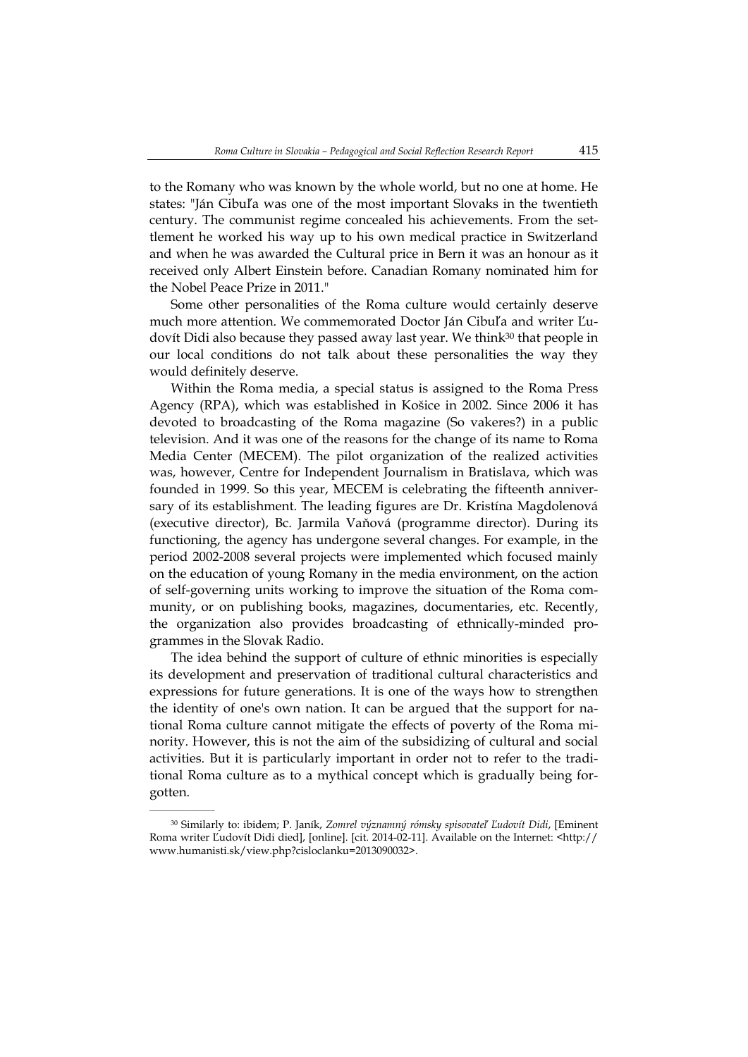to the Romany who was known by the whole world, but no one at home. He states: "Ján Cibuľa was one of the most important Slovaks in the twentieth century. The communist regime concealed his achievements. From the settlement he worked his way up to his own medical practice in Switzerland and when he was awarded the Cultural price in Bern it was an honour as it received only Albert Einstein before. Canadian Romany nominated him for the Nobel Peace Prize in 2011."

Some other personalities of the Roma culture would certainly deserve much more attention. We commemorated Doctor Ján Cibuľa and writer Ľudovít Didi also because they passed away last year. We think<sup>30</sup> that people in our local conditions do not talk about these personalities the way they would definitely deserve.

Within the Roma media, a special status is assigned to the Roma Press Agency (RPA), which was established in Košice in 2002. Since 2006 it has devoted to broadcasting of the Roma magazine (So vakeres?) in a public television. And it was one of the reasons for the change of its name to Roma Media Center (MECEM). The pilot organization of the realized activities was, however, Centre for Independent Journalism in Bratislava, which was founded in 1999. So this year, MECEM is celebrating the fifteenth anniversary of its establishment. The leading figures are Dr. Kristína Magdolenová (executive director), Bc. Jarmila Vaňová (programme director). During its functioning, the agency has undergone several changes. For example, in the period 2002-2008 several projects were implemented which focused mainly on the education of young Romany in the media environment, on the action of self-governing units working to improve the situation of the Roma community, or on publishing books, magazines, documentaries, etc. Recently, the organization also provides broadcasting of ethnically-minded programmes in the Slovak Radio.

The idea behind the support of culture of ethnic minorities is especially its development and preservation of traditional cultural characteristics and expressions for future generations. It is one of the ways how to strengthen the identity of one's own nation. It can be argued that the support for national Roma culture cannot mitigate the effects of poverty of the Roma minority. However, this is not the aim of the subsidizing of cultural and social activities. But it is particularly important in order not to refer to the traditional Roma culture as to a mythical concept which is gradually being forgotten.

<sup>30</sup> Similarly to: ibidem; P. Janík, *Zomrel významný rómsky spisovateľ Ľudovít Didi*, [Eminent Roma writer Ľudovít Didi died], [online]. [cit. 2014-02-11]. Available on the Internet: <http:// www.humanisti.sk/view.php?cisloclanku=2013090032>.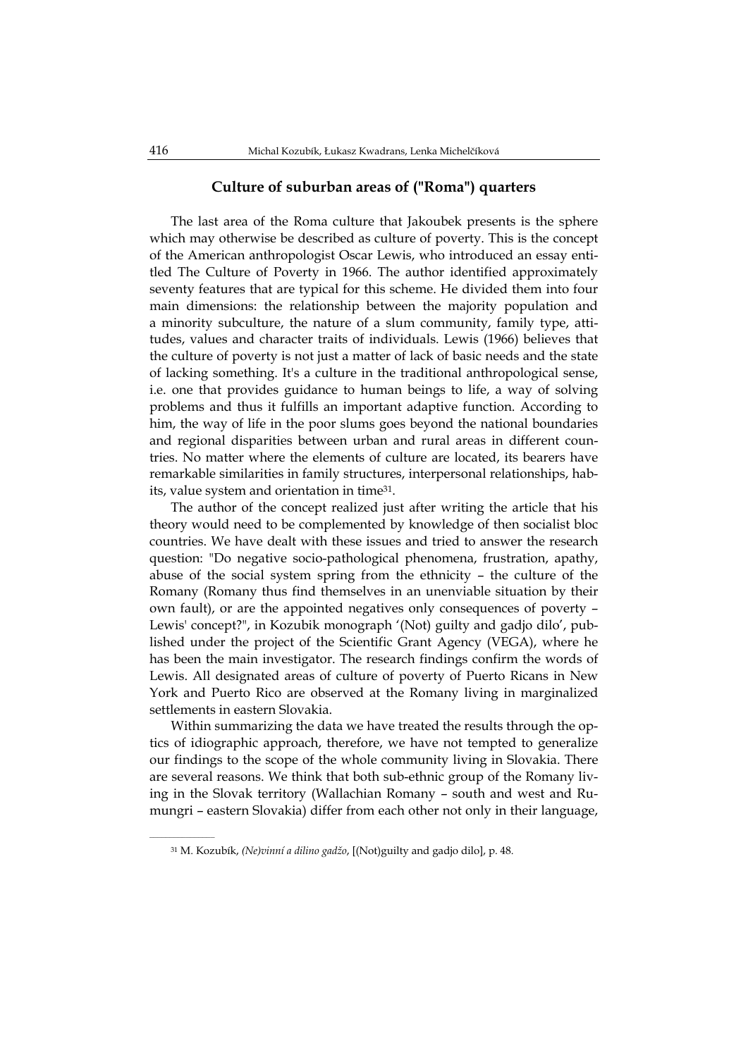### **Culture of suburban areas of ("Roma") quarters**

The last area of the Roma culture that Jakoubek presents is the sphere which may otherwise be described as culture of poverty. This is the concept of the American anthropologist Oscar Lewis, who introduced an essay entitled The Culture of Poverty in 1966. The author identified approximately seventy features that are typical for this scheme. He divided them into four main dimensions: the relationship between the majority population and a minority subculture, the nature of a slum community, family type, attitudes, values and character traits of individuals. Lewis (1966) believes that the culture of poverty is not just a matter of lack of basic needs and the state of lacking something. It's a culture in the traditional anthropological sense, i.e. one that provides guidance to human beings to life, a way of solving problems and thus it fulfills an important adaptive function. According to him, the way of life in the poor slums goes beyond the national boundaries and regional disparities between urban and rural areas in different countries. No matter where the elements of culture are located, its bearers have remarkable similarities in family structures, interpersonal relationships, habits, value system and orientation in time31.

The author of the concept realized just after writing the article that his theory would need to be complemented by knowledge of then socialist bloc countries. We have dealt with these issues and tried to answer the research question: "Do negative socio-pathological phenomena, frustration, apathy, abuse of the social system spring from the ethnicity – the culture of the Romany (Romany thus find themselves in an unenviable situation by their own fault), or are the appointed negatives only consequences of poverty – Lewis' concept?", in Kozubik monograph '(Not) guilty and gadjo dilo', published under the project of the Scientific Grant Agency (VEGA), where he has been the main investigator. The research findings confirm the words of Lewis. All designated areas of culture of poverty of Puerto Ricans in New York and Puerto Rico are observed at the Romany living in marginalized settlements in eastern Slovakia.

Within summarizing the data we have treated the results through the optics of idiographic approach, therefore, we have not tempted to generalize our findings to the scope of the whole community living in Slovakia. There are several reasons. We think that both sub-ethnic group of the Romany living in the Slovak territory (Wallachian Romany – south and west and Rumungri – eastern Slovakia) differ from each other not only in their language,

<sup>31</sup> M. Kozubík, *(Ne)vinní a dilino gadžo*, [(Not)guilty and gadjo dilo], p. 48.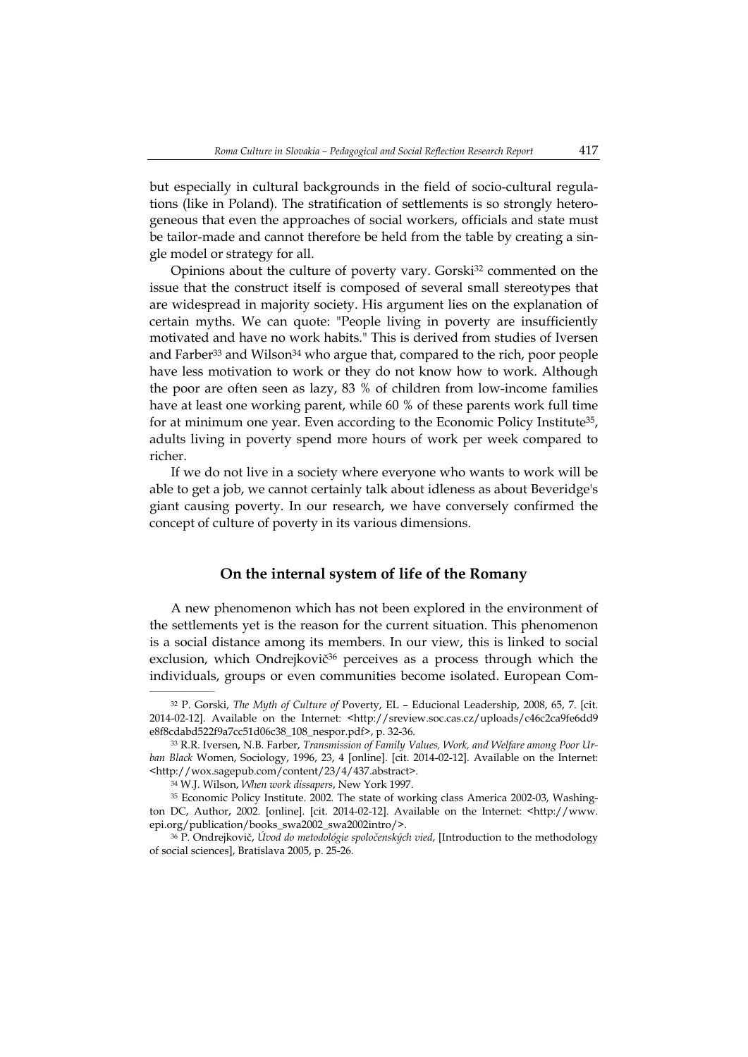but especially in cultural backgrounds in the field of socio-cultural regulations (like in Poland). The stratification of settlements is so strongly heterogeneous that even the approaches of social workers, officials and state must be tailor-made and cannot therefore be held from the table by creating a single model or strategy for all.

Opinions about the culture of poverty vary. Gorski32 commented on the issue that the construct itself is composed of several small stereotypes that are widespread in majority society. His argument lies on the explanation of certain myths. We can quote: "People living in poverty are insufficiently motivated and have no work habits." This is derived from studies of Iversen and Farber<sup>33</sup> and Wilson<sup>34</sup> who argue that, compared to the rich, poor people have less motivation to work or they do not know how to work. Although the poor are often seen as lazy, 83 % of children from low-income families have at least one working parent, while 60 % of these parents work full time for at minimum one year. Even according to the Economic Policy Institute<sup>35</sup>, adults living in poverty spend more hours of work per week compared to richer.

If we do not live in a society where everyone who wants to work will be able to get a job, we cannot certainly talk about idleness as about Beveridge's giant causing poverty. In our research, we have conversely confirmed the concept of culture of poverty in its various dimensions.

## **On the internal system of life of the Romany**

A new phenomenon which has not been explored in the environment of the settlements yet is the reason for the current situation. This phenomenon is a social distance among its members. In our view, this is linked to social exclusion, which Ondrejkovič $36$  perceives as a process through which the individuals, groups or even communities become isolated. European Com-

<sup>32</sup> P. Gorski, *The Myth of Culture of* Poverty, EL – Educional Leadership, 2008, 65, 7. [cit. 2014-02-12]. Available on the Internet: <http://sreview.soc.cas.cz/uploads/c46c2ca9fe6dd9 e8f8cdabd522f9a7cc51d06c38\_108\_nespor.pdf>, p. 32-36.

<sup>33</sup> R.R. Iversen, N.B. Farber, *Transmission of Family Values, Work, and Welfare among Poor Urban Black* Women, Sociology, 1996, 23, 4 [online]. [cit. 2014-02-12]. Available on the Internet: <http://wox.sagepub.com/content/23/4/437.abstract>.

<sup>34</sup> W.J. Wilson, *When work dissapers*, New York 1997.

<sup>35</sup> Economic Policy Institute. 2002. The state of working class America 2002-03, Washington DC, Author, 2002. [online]. [cit. 2014-02-12]. Available on the Internet: <http://www. epi.org/publication/books\_swa2002\_swa2002intro/>.

<sup>36</sup> P. Ondrejkovič, *Úvod do metodológie spoločenských vied*, [Introduction to the methodology of social sciences], Bratislava 2005, p. 25-26.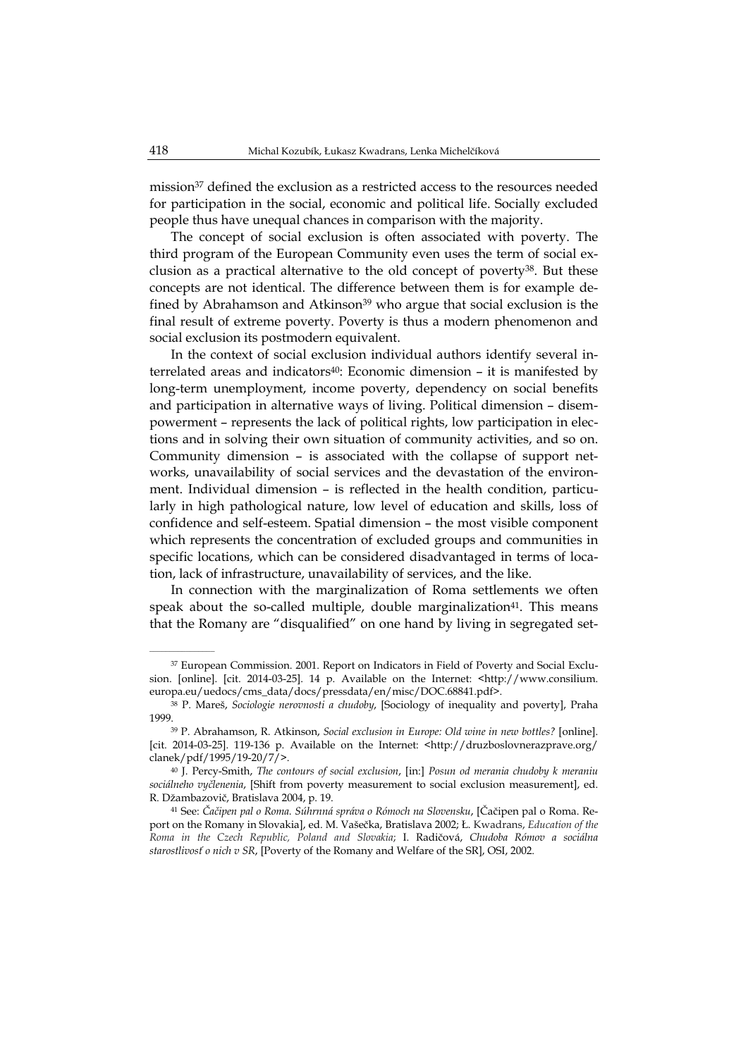mission37 defined the exclusion as a restricted access to the resources needed for participation in the social, economic and political life. Socially excluded people thus have unequal chances in comparison with the majority.

The concept of social exclusion is often associated with poverty. The third program of the European Community even uses the term of social exclusion as a practical alternative to the old concept of poverty38. But these concepts are not identical. The difference between them is for example defined by Abrahamson and Atkinson<sup>39</sup> who argue that social exclusion is the final result of extreme poverty. Poverty is thus a modern phenomenon and social exclusion its postmodern equivalent.

In the context of social exclusion individual authors identify several interrelated areas and indicators<sup>40</sup>: Economic dimension - it is manifested by long-term unemployment, income poverty, dependency on social benefits and participation in alternative ways of living. Political dimension – disempowerment – represents the lack of political rights, low participation in elections and in solving their own situation of community activities, and so on. Community dimension – is associated with the collapse of support networks, unavailability of social services and the devastation of the environment. Individual dimension – is reflected in the health condition, particularly in high pathological nature, low level of education and skills, loss of confidence and self-esteem. Spatial dimension – the most visible component which represents the concentration of excluded groups and communities in specific locations, which can be considered disadvantaged in terms of location, lack of infrastructure, unavailability of services, and the like.

In connection with the marginalization of Roma settlements we often speak about the so-called multiple, double marginalization<sup>41</sup>. This means that the Romany are "disqualified" on one hand by living in segregated set-

<sup>37</sup> European Commission. 2001. Report on Indicators in Field of Poverty and Social Exclusion. [online]. [cit. 2014-03-25]. 14 p. Available on the Internet: <http://www.consilium. europa.eu/uedocs/cms\_data/docs/pressdata/en/misc/DOC.68841.pdf>.

<sup>38</sup> P. Mareš, *Sociologie nerovnosti a chudoby*, [Sociology of inequality and poverty], Praha 1999.

<sup>39</sup> P. Abrahamson, R. Atkinson, *Social exclusion in Europe: Old wine in new bottles?* [online]. [cit. 2014-03-25]. 119-136 p. Available on the Internet: <http://druzboslovnerazprave.org/ clanek/pdf/1995/19-20/7/>.

<sup>40</sup> J. Percy-Smith, *The contours of social exclusion*, [in:] *Posun od merania chudoby k meraniu sociálneho vyčlenenia*, [Shift from poverty measurement to social exclusion measurement], ed. R. Džambazovič, Bratislava 2004, p. 19.

<sup>41</sup> See: *Čačipen pal o Roma. Súhrnná správa o Rómoch na Slovensku*, [Čačipen pal o Roma. Report on the Romany in Slovakia], ed. M. Vašečka, Bratislava 2002; Ł. Kwadrans, *Education of the Roma in the Czech Republic, Poland and Slovakia*; I. Radičová, *Chudoba Rómov a sociálna starostlivosť o nich v SR*, [Poverty of the Romany and Welfare of the SR], OSI, 2002.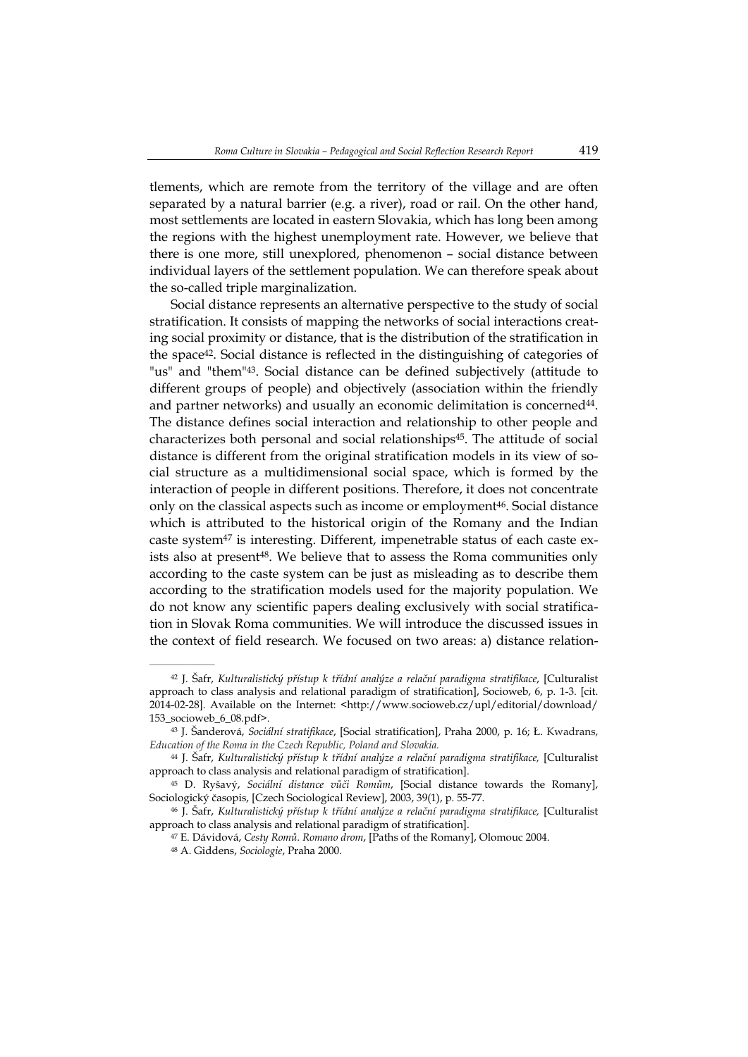tlements, which are remote from the territory of the village and are often separated by a natural barrier (e.g. a river), road or rail. On the other hand, most settlements are located in eastern Slovakia, which has long been among the regions with the highest unemployment rate. However, we believe that there is one more, still unexplored, phenomenon – social distance between individual layers of the settlement population. We can therefore speak about the so-called triple marginalization.

Social distance represents an alternative perspective to the study of social stratification. It consists of mapping the networks of social interactions creating social proximity or distance, that is the distribution of the stratification in the space42. Social distance is reflected in the distinguishing of categories of "us" and "them"43. Social distance can be defined subjectively (attitude to different groups of people) and objectively (association within the friendly and partner networks) and usually an economic delimitation is concerned44. The distance defines social interaction and relationship to other people and characterizes both personal and social relationships45. The attitude of social distance is different from the original stratification models in its view of social structure as a multidimensional social space, which is formed by the interaction of people in different positions. Therefore, it does not concentrate only on the classical aspects such as income or employment<sup>46</sup>. Social distance which is attributed to the historical origin of the Romany and the Indian caste system47 is interesting. Different, impenetrable status of each caste exists also at present<sup>48</sup>. We believe that to assess the Roma communities only according to the caste system can be just as misleading as to describe them according to the stratification models used for the majority population. We do not know any scientific papers dealing exclusively with social stratification in Slovak Roma communities. We will introduce the discussed issues in the context of field research. We focused on two areas: a) distance relation-

47 E. Dávidová, *Cesty Romů. Romano drom*, [Paths of the Romany], Olomouc 2004.

 $\mathcal{L}=\mathcal{L}^{\text{max}}$ 

<sup>42</sup> J. Šafr, *Kulturalistický přístup k třídní analýze a relační paradigma stratifikace*, [Culturalist approach to class analysis and relational paradigm of stratification], Socioweb, 6, p. 1-3. [cit. 2014-02-28]. Available on the Internet: <http://www.socioweb.cz/upl/editorial/download/ 153\_socioweb\_6\_08.pdf>.

<sup>43</sup> J. Šanderová, *Sociální stratifikace*, [Social stratification], Praha 2000, p. 16; Ł. Kwadrans, *Education of the Roma in the Czech Republic, Poland and Slovakia*.

<sup>44</sup> J. Šafr, *Kulturalistický přístup k třídní analýze a relační paradigma stratifikace,* [Culturalist approach to class analysis and relational paradigm of stratification].

<sup>45</sup> D. Ryšavý, *Sociální distance vůči Romům*, [Social distance towards the Romany], Sociologický časopis, [Czech Sociological Review], 2003, 39(1), p. 55-77.

<sup>46</sup> J. Šafr, *Kulturalistický přístup k třídní analýze a relační paradigma stratifikace,* [Culturalist approach to class analysis and relational paradigm of stratification].

<sup>48</sup> A. Giddens, *Sociologie*, Praha 2000.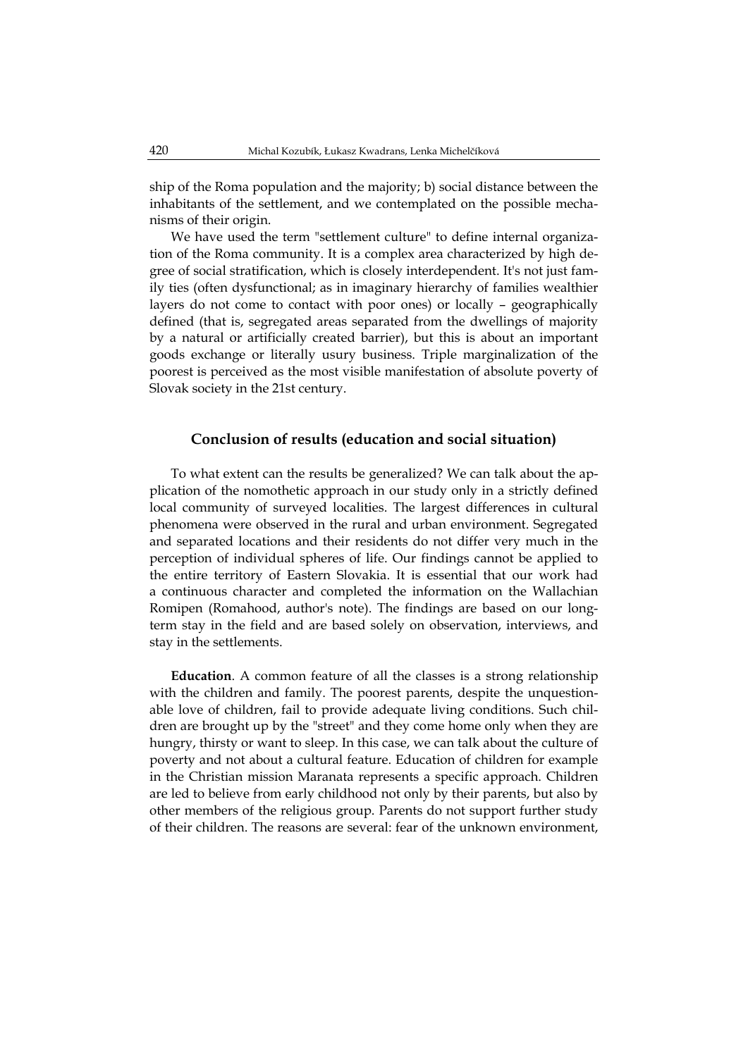ship of the Roma population and the majority; b) social distance between the inhabitants of the settlement, and we contemplated on the possible mechanisms of their origin.

We have used the term "settlement culture" to define internal organization of the Roma community. It is a complex area characterized by high degree of social stratification, which is closely interdependent. It's not just family ties (often dysfunctional; as in imaginary hierarchy of families wealthier layers do not come to contact with poor ones) or locally – geographically defined (that is, segregated areas separated from the dwellings of majority by a natural or artificially created barrier), but this is about an important goods exchange or literally usury business. Triple marginalization of the poorest is perceived as the most visible manifestation of absolute poverty of Slovak society in the 21st century.

#### **Conclusion of results (education and social situation)**

To what extent can the results be generalized? We can talk about the application of the nomothetic approach in our study only in a strictly defined local community of surveyed localities. The largest differences in cultural phenomena were observed in the rural and urban environment. Segregated and separated locations and their residents do not differ very much in the perception of individual spheres of life. Our findings cannot be applied to the entire territory of Eastern Slovakia. It is essential that our work had a continuous character and completed the information on the Wallachian Romipen (Romahood, author's note). The findings are based on our longterm stay in the field and are based solely on observation, interviews, and stay in the settlements.

**Education**. A common feature of all the classes is a strong relationship with the children and family. The poorest parents, despite the unquestionable love of children, fail to provide adequate living conditions. Such children are brought up by the "street" and they come home only when they are hungry, thirsty or want to sleep. In this case, we can talk about the culture of poverty and not about a cultural feature. Education of children for example in the Christian mission Maranata represents a specific approach. Children are led to believe from early childhood not only by their parents, but also by other members of the religious group. Parents do not support further study of their children. The reasons are several: fear of the unknown environment,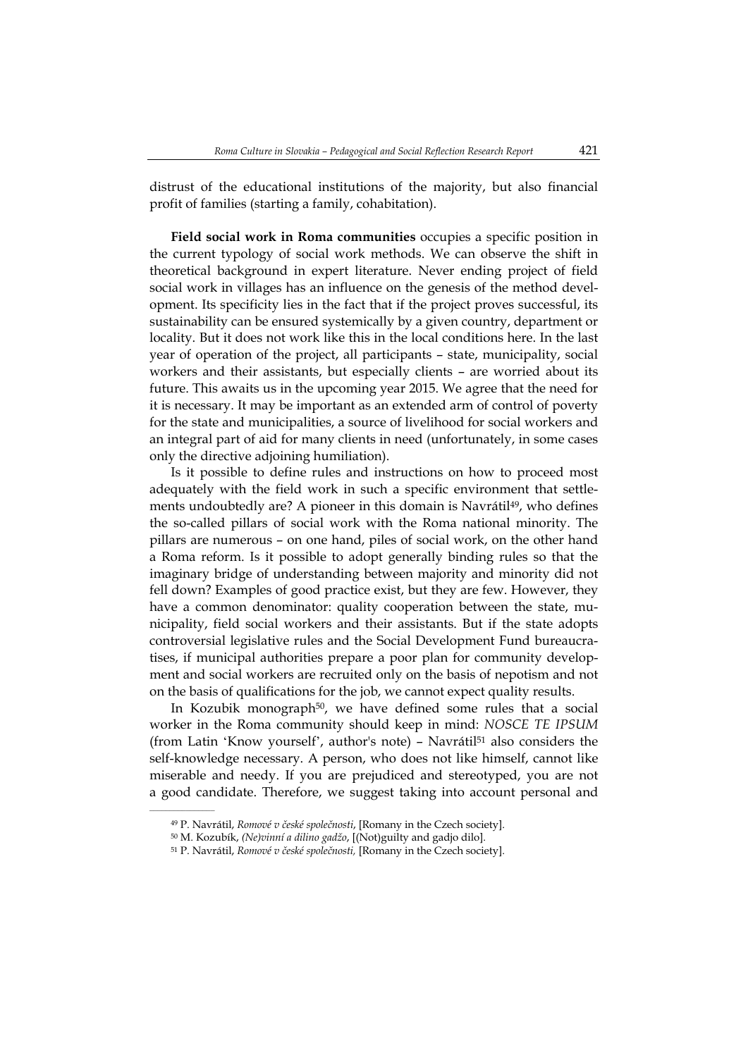distrust of the educational institutions of the majority, but also financial profit of families (starting a family, cohabitation).

**Field social work in Roma communities** occupies a specific position in the current typology of social work methods. We can observe the shift in theoretical background in expert literature. Never ending project of field social work in villages has an influence on the genesis of the method development. Its specificity lies in the fact that if the project proves successful, its sustainability can be ensured systemically by a given country, department or locality. But it does not work like this in the local conditions here. In the last year of operation of the project, all participants – state, municipality, social workers and their assistants, but especially clients – are worried about its future. This awaits us in the upcoming year 2015. We agree that the need for it is necessary. It may be important as an extended arm of control of poverty for the state and municipalities, a source of livelihood for social workers and an integral part of aid for many clients in need (unfortunately, in some cases only the directive adjoining humiliation).

Is it possible to define rules and instructions on how to proceed most adequately with the field work in such a specific environment that settlements undoubtedly are? A pioneer in this domain is Navrátil<sup>49</sup>, who defines the so-called pillars of social work with the Roma national minority. The pillars are numerous – on one hand, piles of social work, on the other hand a Roma reform. Is it possible to adopt generally binding rules so that the imaginary bridge of understanding between majority and minority did not fell down? Examples of good practice exist, but they are few. However, they have a common denominator: quality cooperation between the state, municipality, field social workers and their assistants. But if the state adopts controversial legislative rules and the Social Development Fund bureaucratises, if municipal authorities prepare a poor plan for community development and social workers are recruited only on the basis of nepotism and not on the basis of qualifications for the job, we cannot expect quality results.

In Kozubik monograph<sup>50</sup>, we have defined some rules that a social worker in the Roma community should keep in mind: *NOSCE TE IPSUM* (from Latin 'Know yourself', author's note) – Navrátil<sup>51</sup> also considers the self-knowledge necessary. A person, who does not like himself, cannot like miserable and needy. If you are prejudiced and stereotyped, you are not a good candidate. Therefore, we suggest taking into account personal and

<sup>49</sup> P. Navrátil, *Romové v české společnosti*, [Romany in the Czech society].

<sup>50</sup> M. Kozubík, *(Ne)vinní a dilino gadžo*, [(Not)guilty and gadjo dilo].

<sup>51</sup> P. Navrátil, *Romové v české společnosti,* [Romany in the Czech society].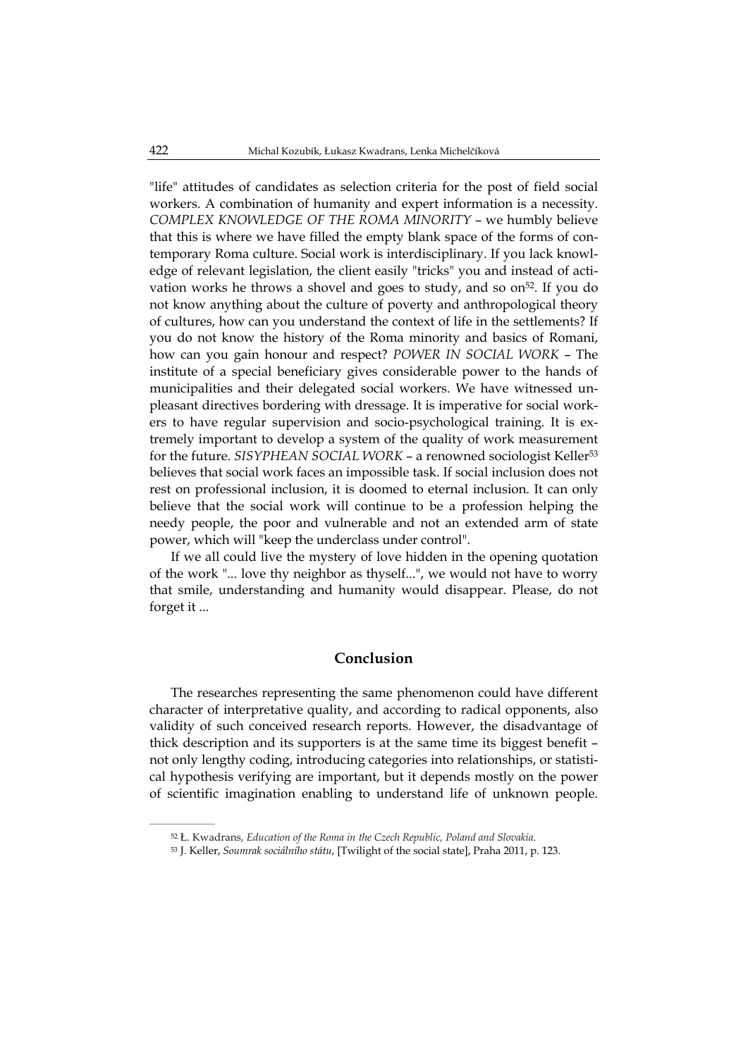"life" attitudes of candidates as selection criteria for the post of field social workers. A combination of humanity and expert information is a necessity. *COMPLEX KNOWLEDGE OF THE ROMA MINORITY* – we humbly believe that this is where we have filled the empty blank space of the forms of contemporary Roma culture. Social work is interdisciplinary. If you lack knowledge of relevant legislation, the client easily "tricks" you and instead of activation works he throws a shovel and goes to study, and so  $\text{on}^{52}$ . If you do not know anything about the culture of poverty and anthropological theory of cultures, how can you understand the context of life in the settlements? If you do not know the history of the Roma minority and basics of Romani, how can you gain honour and respect? *POWER IN SOCIAL WORK* – The institute of a special beneficiary gives considerable power to the hands of municipalities and their delegated social workers. We have witnessed unpleasant directives bordering with dressage. It is imperative for social workers to have regular supervision and socio-psychological training. It is extremely important to develop a system of the quality of work measurement for the future. *SISYPHEAN SOCIAL WORK* – a renowned sociologist Keller53 believes that social work faces an impossible task. If social inclusion does not rest on professional inclusion, it is doomed to eternal inclusion. It can only believe that the social work will continue to be a profession helping the needy people, the poor and vulnerable and not an extended arm of state power, which will "keep the underclass under control".

If we all could live the mystery of love hidden in the opening quotation of the work "... love thy neighbor as thyself...", we would not have to worry that smile, understanding and humanity would disappear. Please, do not forget it ...

## **Conclusion**

The researches representing the same phenomenon could have different character of interpretative quality, and according to radical opponents, also validity of such conceived research reports. However, the disadvantage of thick description and its supporters is at the same time its biggest benefit – not only lengthy coding, introducing categories into relationships, or statistical hypothesis verifying are important, but it depends mostly on the power of scientific imagination enabling to understand life of unknown people.

<sup>52</sup> Ł. Kwadrans, *Education of the Roma in the Czech Republic, Poland and Slovakia*.

<sup>53</sup> J. Keller, *Soumrak sociálního státu*, [Twilight of the social state], Praha 2011, p. 123.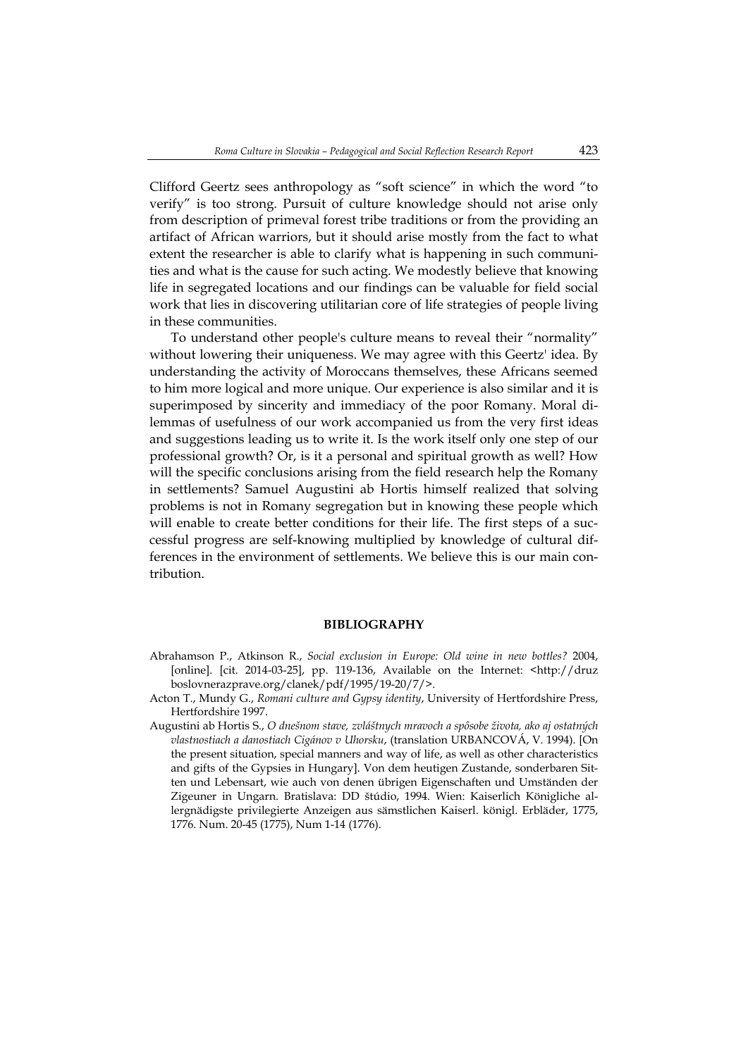Clifford Geertz sees anthropology as "soft science" in which the word "to verify" is too strong. Pursuit of culture knowledge should not arise only from description of primeval forest tribe traditions or from the providing an artifact of African warriors, but it should arise mostly from the fact to what extent the researcher is able to clarify what is happening in such communities and what is the cause for such acting. We modestly believe that knowing life in segregated locations and our findings can be valuable for field social work that lies in discovering utilitarian core of life strategies of people living in these communities.

To understand other people's culture means to reveal their "normality" without lowering their uniqueness. We may agree with this Geertz' idea. By understanding the activity of Moroccans themselves, these Africans seemed to him more logical and more unique. Our experience is also similar and it is superimposed by sincerity and immediacy of the poor Romany. Moral dilemmas of usefulness of our work accompanied us from the very first ideas and suggestions leading us to write it. Is the work itself only one step of our professional growth? Or, is it a personal and spiritual growth as well? How will the specific conclusions arising from the field research help the Romany in settlements? Samuel Augustini ab Hortis himself realized that solving problems is not in Romany segregation but in knowing these people which will enable to create better conditions for their life. The first steps of a successful progress are self-knowing multiplied by knowledge of cultural differences in the environment of settlements. We believe this is our main contribution.

#### **BIBLIOGRAPHY**

- Abrahamson P., Atkinson R., *Social exclusion in Europe: Old wine in new bottles?* 2004, [online]. [cit. 2014-03-25], pp. 119-136, Available on the Internet: <http://druz boslovnerazprave.org/clanek/pdf/1995/19-20/7/>.
- Acton T., Mundy G., *Romani culture and Gypsy identity*, University of Hertfordshire Press, Hertfordshire 1997.
- Augustini ab Hortis S., *O dnešnom stave, zvláštnych mravoch a spôsobe života, ako aj ostatných vlastnostiach a danostiach Cigánov v Uhorsku*, (translation URBANCOVÁ, V. 1994). [On the present situation, special manners and way of life, as well as other characteristics and gifts of the Gypsies in Hungary]. Von dem heutigen Zustande, sonderbaren Sitten und Lebensart, wie auch von denen übrigen Eigenschaften und Umständen der Zigeuner in Ungarn. Bratislava: DD štúdio, 1994. Wien: Kaiserlich Königliche allergnädigste privilegierte Anzeigen aus sämstlichen Kaiserl. königl. Erbläder, 1775, 1776. Num. 20-45 (1775), Num 1-14 (1776).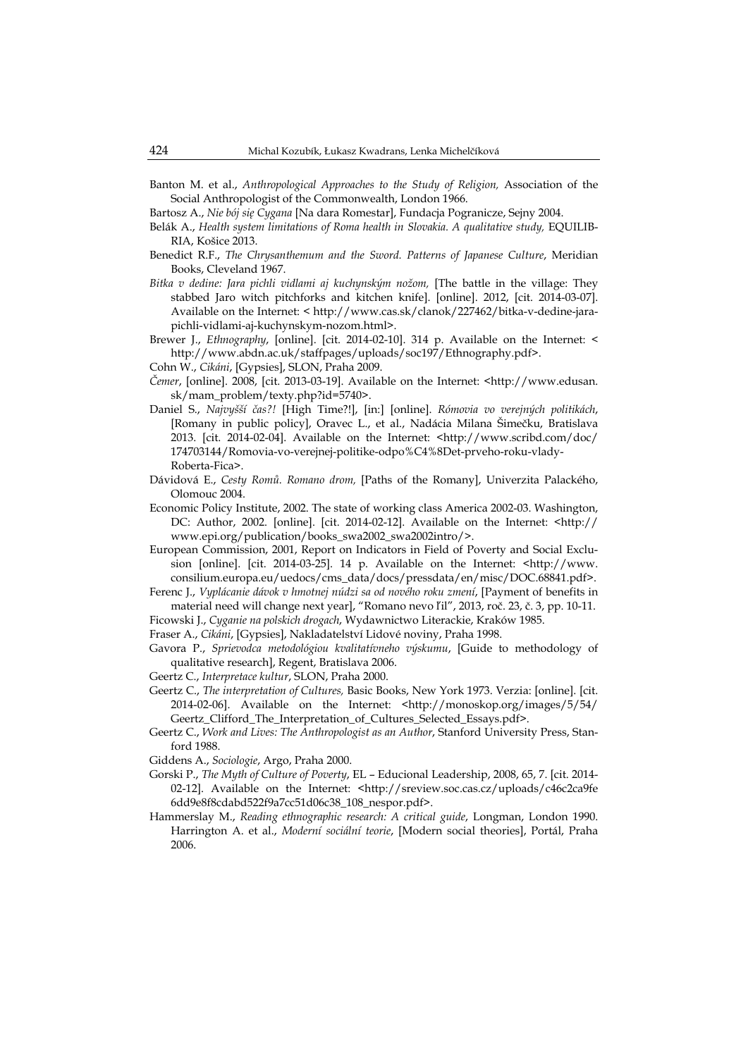- Banton M. et al., *Anthropological Approaches to the Study of Religion,* Association of the Social Anthropologist of the Commonwealth, London 1966.
- Bartosz A., *Nie bój się Cygana* [Na dara Romestar], Fundacja Pogranicze, Sejny 2004.
- Belák A., *Health system limitations of Roma health in Slovakia. A qualitative study,* EQUILIB-RIA, Košice 2013.
- Benedict R.F., *The Chrysanthemum and the Sword. Patterns of Japanese Culture*, Meridian Books, Cleveland 1967.
- *Bitka v dedine: Jara pichli vidlami aj kuchynským nožom,* [The battle in the village: They stabbed Jaro witch pitchforks and kitchen knife]. [online]. 2012, [cit. 2014-03-07]. Available on the Internet: < http://www.cas.sk/clanok/227462/bitka-v-dedine-jarapichli-vidlami-aj-kuchynskym-nozom.html>.
- Brewer J., *Ethnography*, [online]. [cit. 2014-02-10]. 314 p. Available on the Internet: < http://www.abdn.ac.uk/staffpages/uploads/soc197/Ethnography.pdf>.
- Cohn W., *Cikáni*, [Gypsies], SLON, Praha 2009.
- *Čemer*, [online]. 2008, [cit. 2013-03-19]. Available on the Internet: <http://www.edusan. sk/mam\_problem/texty.php?id=5740>.
- Daniel S., *Najvyšší čas?!* [High Time?!], [in:] [online]. *Rómovia vo verejných politikách*, [Romany in public policy], Oravec L., et al., Nadácia Milana Šimečku, Bratislava 2013. [cit. 2014-02-04]. Available on the Internet: <http://www.scribd.com/doc/ 174703144/Romovia-vo-verejnej-politike-odpo%C4%8Det-prveho-roku-vlady-Roberta-Fica>.
- Dávidová E., *Cesty Romů. Romano drom,* [Paths of the Romany], Univerzita Palackého, Olomouc 2004.
- Economic Policy Institute, 2002. The state of working class America 2002-03. Washington, DC: Author, 2002. [online]. [cit. 2014-02-12]. Available on the Internet: <http:// www.epi.org/publication/books\_swa2002\_swa2002intro/>.
- European Commission, 2001, Report on Indicators in Field of Poverty and Social Exclusion [online]. [cit. 2014-03-25]. 14 p. Available on the Internet: <http://www. consilium.europa.eu/uedocs/cms\_data/docs/pressdata/en/misc/DOC.68841.pdf>.
- Ferenc J., *Vyplácanie dávok v hmotnej núdzi sa od nového roku zmení*, [Payment of benefits in material need will change next year], "Romano nevo ľil", 2013, roč. 23, č. 3, pp. 10-11.
- Ficowski J., *Cyganie na polskich drogach*, Wydawnictwo Literackie, Kraków 1985.
- Fraser A., *Cikáni*, [Gypsies], Nakladatelství Lidové noviny, Praha 1998.
- Gavora P., *Sprievodca metodológiou kvalitatívneho výskumu*, [Guide to methodology of qualitative research], Regent, Bratislava 2006.
- Geertz C., *Interpretace kultur*, SLON, Praha 2000.
- Geertz C., *The interpretation of Cultures,* Basic Books, New York 1973. Verzia: [online]. [cit. 2014-02-06]. Available on the Internet: <http://monoskop.org/images/5/54/ Geertz\_Clifford\_The\_Interpretation\_of\_Cultures\_Selected\_Essays.pdf>.
- Geertz C., *Work and Lives: The Anthropologist as an Author*, Stanford University Press, Stanford 1988.
- Giddens A., *Sociologie*, Argo, Praha 2000.
- Gorski P., *The Myth of Culture of Poverty*, EL Educional Leadership, 2008, 65, 7. [cit. 2014- 02-12]. Available on the Internet: <http://sreview.soc.cas.cz/uploads/c46c2ca9fe 6dd9e8f8cdabd522f9a7cc51d06c38\_108\_nespor.pdf>.
- Hammerslay M., *Reading ethnographic research: A critical guide*, Longman, London 1990. Harrington A. et al., *Moderní sociální teorie*, [Modern social theories], Portál, Praha 2006.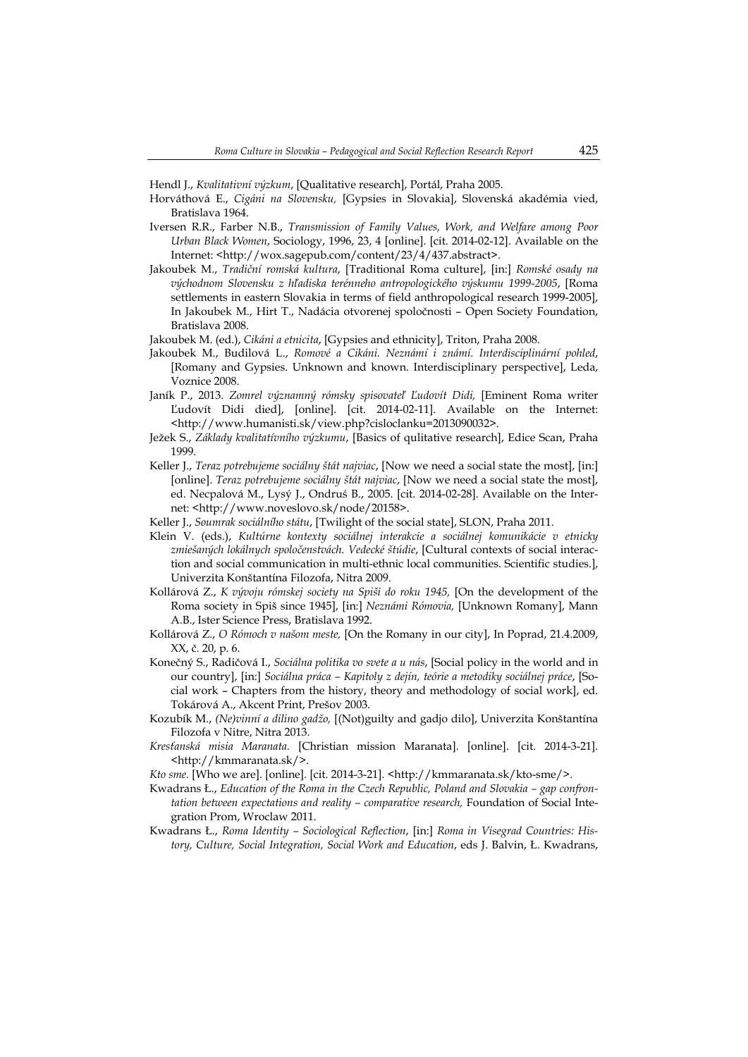Hendl J., *Kvalitativní výzkum*, [Qualitative research], Portál, Praha 2005.

- Horváthová E., *Cigáni na Slovensku,* [Gypsies in Slovakia], Slovenská akadémia vied, Bratislava 1964.
- Iversen R.R., Farber N.B., *Transmission of Family Values, Work, and Welfare among Poor Urban Black Women*, Sociology, 1996, 23, 4 [online]. [cit. 2014-02-12]. Available on the Internet: <http://wox.sagepub.com/content/23/4/437.abstract>.
- Jakoubek M., *Tradiční romská kultura*, [Traditional Roma culture], [in:] *Romské osady na východnom Slovensku z hľadiska terénneho antropologického výskumu 1999-2005*, [Roma settlements in eastern Slovakia in terms of field anthropological research 1999-2005], In Jakoubek M., Hirt T., Nadácia otvorenej spoločnosti – Open Society Foundation, Bratislava 2008.
- Jakoubek M. (ed.), *Cikáni a etnicita*, [Gypsies and ethnicity], Triton, Praha 2008.
- Jakoubek M., Budilová L., *Romové a Cikáni. Neznámí i známí. Interdisciplinární pohled*, [Romany and Gypsies. Unknown and known. Interdisciplinary perspective], Leda, Voznice 2008.
- Janík P., 2013. *Zomrel významný rómsky spisovateľ Ľudovít Didi,* [Eminent Roma writer Ľudovít Didi died], [online]. [cit. 2014-02-11]. Available on the Internet: <http://www.humanisti.sk/view.php?cisloclanku=2013090032>.
- Ježek S., *Základy kvalitatívního výzkumu*, [Basics of qulitative research], Edice Scan, Praha 1999.
- Keller J., *Teraz potrebujeme sociálny štát najviac*, [Now we need a social state the most], [in:] [online]. *Teraz potrebujeme sociálny štát najviac*, [Now we need a social state the most], ed. Necpalová M., Lysý J., Ondruś B., 2005. [cit. 2014-02-28]. Available on the Internet: <http://www.noveslovo.sk/node/20158>.
- Keller J., *Soumrak sociálního státu*, [Twilight of the social state], SLON, Praha 2011.
- Klein V. (eds.), *Kultúrne kontexty sociálnej interakcie a sociálnej komunikácie v etnicky zmiešaných lokálnych spoločenstvách. Vedecké štúdie*, [Cultural contexts of social interaction and social communication in multi-ethnic local communities. Scientific studies.], Univerzita Konštantína Filozofa, Nitra 2009.
- Kollárová Z., *K vývoju rómskej society na Spiši do roku 1945,* [On the development of the Roma society in Spiš since 1945], [in:] *Neznámi Rómovia,* [Unknown Romany], Mann A.B., Ister Science Press, Bratislava 1992.
- Kollárová Z., *O Rómoch v našom meste,* [On the Romany in our city], In Poprad, 21.4.2009, XX, č. 20, p. 6.
- Konečný S., Radičová I., *Sociálna politika vo svete a u nás*, [Social policy in the world and in our country], [in:] *Sociálna práca – Kapitoly z dejín, teórie a metodiky sociálnej práce*, [Social work – Chapters from the history, theory and methodology of social work], ed. Tokárová A., Akcent Print, Prešov 2003.
- Kozubík M., *(Ne)vinní a dilino gadžo,* [(Not)guilty and gadjo dilo], Univerzita Konštantína Filozofa v Nitre, Nitra 2013.
- *Kresťanská misia Maranata.* [Christian mission Maranata]. [online]. [cit. 2014-3-21]. <http://kmmaranata.sk/>.
- *Kto sme.* [Who we are]. [online]. [cit. 2014-3-21]. <http://kmmaranata.sk/kto-sme/>.
- Kwadrans Ł., *Education of the Roma in the Czech Republic, Poland and Slovakia gap confrontation between expectations and reality – comparative research, Foundation of Social Inte*gration Prom, Wroclaw 2011.
- Kwadrans Ł., *Roma Identity Sociological Reflection*, [in:] *Roma in Visegrad Countries: History, Culture, Social Integration, Social Work and Education*, eds J. Balvin, Ł. Kwadrans,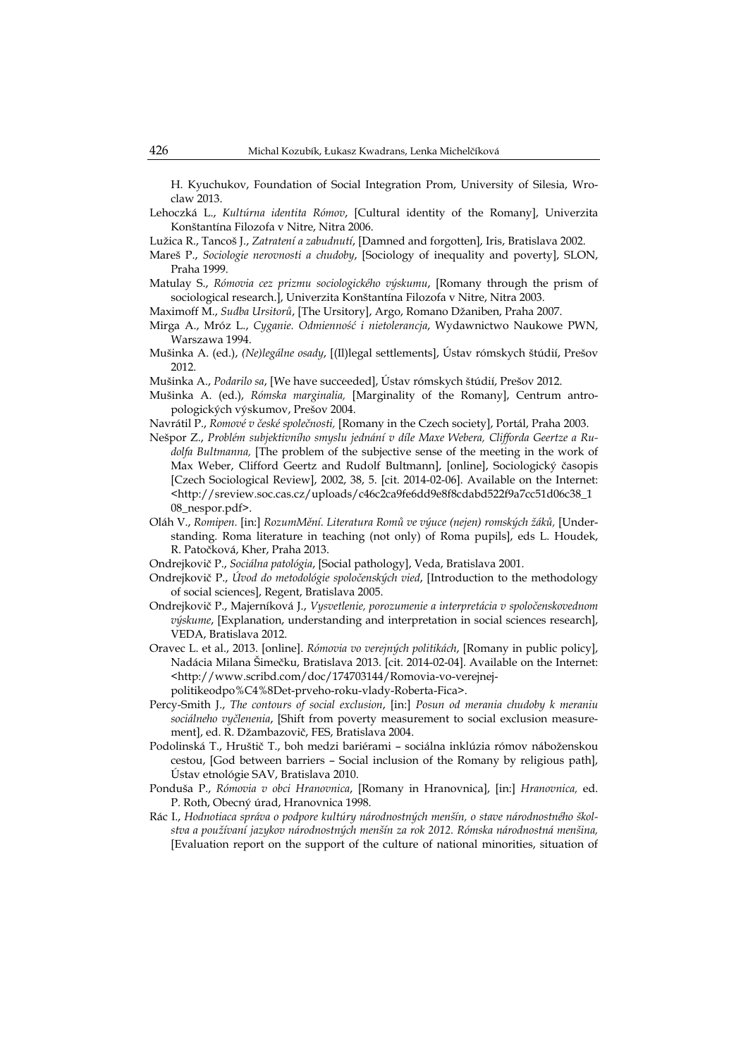H. Kyuchukov, Foundation of Social Integration Prom, University of Silesia, Wroclaw 2013.

- Lehoczká L., *Kultúrna identita Rómov*, [Cultural identity of the Romany], Univerzita Konštantína Filozofa v Nitre, Nitra 2006.
- Lužica R., Tancoš J., *Zatratení a zabudnutí*, [Damned and forgotten], Iris, Bratislava 2002.
- Mareš P., *Sociologie nerovnosti a chudoby*, [Sociology of inequality and poverty], SLON, Praha 1999.
- Matulay S., *Rómovia cez prizmu sociologického výskumu*, [Romany through the prism of sociological research.], Univerzita Konštantína Filozofa v Nitre, Nitra 2003.
- Maximoff M., *Sudba Ursitorů*, [The Ursitory], Argo, Romano Džaniben, Praha 2007.
- Mirga A., Mróz L., *Cyganie. Odmienność i nietolerancja*, Wydawnictwo Naukowe PWN, Warszawa 1994.
- Mušinka A. (ed.), *(Ne)legálne osady*, [(Il)legal settlements], Ústav rómskych štúdií, Prešov 2012.
- Mušinka A., *Podarilo sa*, [We have succeeded], Ústav rómskych štúdií, Prešov 2012.
- Mušinka A. (ed.), *Rómska marginalia,* [Marginality of the Romany], Centrum antropologických výskumov, Prešov 2004.
- Navrátil P., *Romové v české společnosti,* [Romany in the Czech society], Portál, Praha 2003.
- Nešpor Z., *Problém subjektivního smyslu jednání v díle Maxe Webera, Clifforda Geertze a Rudolfa Bultmanna,* [The problem of the subjective sense of the meeting in the work of Max Weber, Clifford Geertz and Rudolf Bultmann], [online], Sociologický časopis [Czech Sociological Review], 2002, 38, 5. [cit. 2014-02-06]. Available on the Internet: <http://sreview.soc.cas.cz/uploads/c46c2ca9fe6dd9e8f8cdabd522f9a7cc51d06c38\_1 08\_nespor.pdf>.
- Oláh V., *Romipen.* [in:] *RozumMění. Literatura Romů ve výuce (nejen) romských žáků,* [Understanding. Roma literature in teaching (not only) of Roma pupils], eds L. Houdek, R. Patočková, Kher, Praha 2013.
- Ondrejkovič P., *Sociálna patológia*, [Social pathology], Veda, Bratislava 2001.
- Ondrejkovič P., *Úvod do metodológie spoločenských vied*, [Introduction to the methodology of social sciences], Regent, Bratislava 2005.
- Ondrejkovič P., Majerníková J., *Vysvetlenie, porozumenie a interpretácia v spoločenskovednom výskume*, [Explanation, understanding and interpretation in social sciences research], VEDA, Bratislava 2012.
- Oravec L. et al., 2013. [online]. *Rómovia vo verejných politikách*, [Romany in public policy], Nadácia Milana Šimečku, Bratislava 2013. [cit. 2014-02-04]. Available on the Internet: <http://www.scribd.com/doc/174703144/Romovia-vo-verejnejpolitikeodpo%C4%8Det-prveho-roku-vlady-Roberta-Fica>.
- Percy-Smith J., *The contours of social exclusion*, [in:] *Posun od merania chudoby k meraniu sociálneho vyčlenenia*, [Shift from poverty measurement to social exclusion measurement], ed. R. Džambazovič, FES, Bratislava 2004.
- Podolinská T., Hruštič T., boh medzi bariérami sociálna inklúzia rómov náboženskou cestou, [God between barriers – Social inclusion of the Romany by religious path], Ústav etnológie SAV, Bratislava 2010.
- Ponduša P., *Rómovia v obci Hranovnica*, [Romany in Hranovnica], [in:] *Hranovnica,* ed. P. Roth, Obecný úrad, Hranovnica 1998.
- Rác I., *Hodnotiaca správa o podpore kultúry národnostných menšín, o stave národnostného školstva a používaní jazykov národnostných menšín za rok 2012. Rómska národnostná menšina,* [Evaluation report on the support of the culture of national minorities, situation of